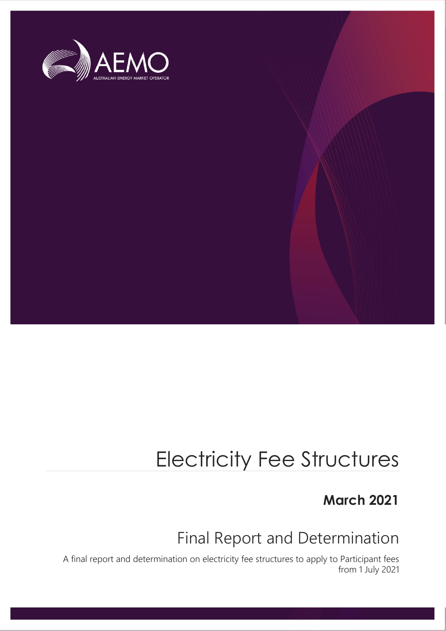

# Electricity Fee Structures

# **March 2021**

# Final Report and Determination

A final report and determination on electricity fee structures to apply to Participant fees from 1 July 2021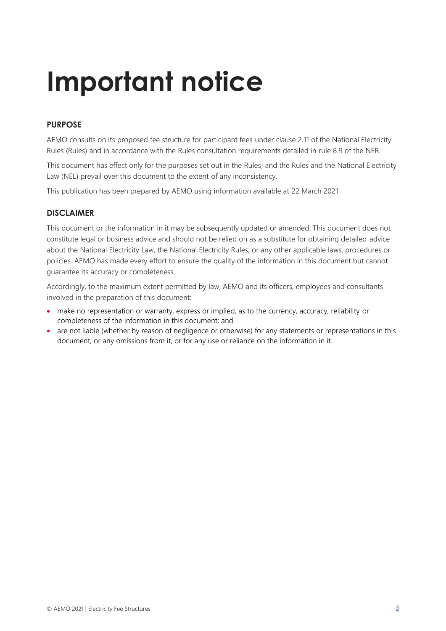# **Important notice**

#### **PURPOSE**

AEMO consults on its proposed fee structure for participant fees under clause 2.11 of the National Electricity Rules (Rules) and in accordance with the Rules consultation requirements detailed in rule 8.9 of the NER.

This document has effect only for the purposes set out in the Rules; and the Rules and the National Electricity Law (NEL) prevail over this document to the extent of any inconsistency.

This publication has been prepared by AEMO using information available at 22 March 2021.

#### **DISCLAIMER**

This document or the information in it may be subsequently updated or amended. This document does not constitute legal or business advice and should not be relied on as a substitute for obtaining detailed advice about the National Electricity Law, the National Electricity Rules, or any other applicable laws, procedures or policies. AEMO has made every effort to ensure the quality of the information in this document but cannot guarantee its accuracy or completeness.

Accordingly, to the maximum extent permitted by law, AEMO and its officers, employees and consultants involved in the preparation of this document:

- make no representation or warranty, express or implied, as to the currency, accuracy, reliability or completeness of the information in this document; and
- are not liable (whether by reason of negligence or otherwise) for any statements or representations in this document, or any omissions from it, or for any use or reliance on the information in it.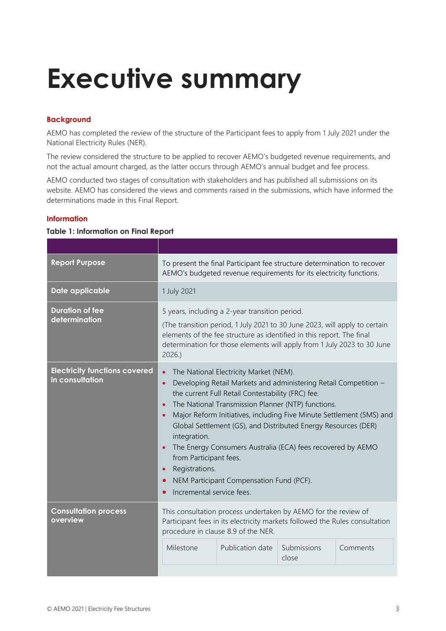# <span id="page-2-0"></span>**Executive summary**

#### **Background**

AEMO has completed the review of the structure of the Participant fees to apply from 1 July 2021 under the National Electricity Rules (NER).

The review considered the structure to be applied to recover AEMO's budgeted revenue requirements, and not the actual amount charged, as the latter occurs through AEMO's annual budget and fee process.

AEMO conducted two stages of consultation with stakeholders and has published all submissions on its website. AEMO has considered the views and comments raised in the submissions, which have informed the determinations made in this Final Report.

#### **Information**

#### **Table 1: Information on Final Report**

| <b>Report Purpose</b>                                                                                                                                                                                                           | To present the final Participant fee structure determination to recover<br>AEMO's budgeted revenue requirements for its electricity functions.                                                                                                                                                                                                                                                                                                                                                                                                                                                                                       |                                                                                                                                                                                                                                                                                  |          |  |
|---------------------------------------------------------------------------------------------------------------------------------------------------------------------------------------------------------------------------------|--------------------------------------------------------------------------------------------------------------------------------------------------------------------------------------------------------------------------------------------------------------------------------------------------------------------------------------------------------------------------------------------------------------------------------------------------------------------------------------------------------------------------------------------------------------------------------------------------------------------------------------|----------------------------------------------------------------------------------------------------------------------------------------------------------------------------------------------------------------------------------------------------------------------------------|----------|--|
| Date applicable                                                                                                                                                                                                                 | 1 July 2021                                                                                                                                                                                                                                                                                                                                                                                                                                                                                                                                                                                                                          |                                                                                                                                                                                                                                                                                  |          |  |
| <b>Duration of fee</b><br>determination                                                                                                                                                                                         | 2026.                                                                                                                                                                                                                                                                                                                                                                                                                                                                                                                                                                                                                                | 5 years, including a 2-year transition period.<br>(The transition period, 1 July 2021 to 30 June 2023, will apply to certain<br>elements of the fee structure as identified in this report. The final<br>determination for those elements will apply from 1 July 2023 to 30 June |          |  |
| <b>Electricity functions covered</b><br>in consultation                                                                                                                                                                         | The National Electricity Market (NEM).<br>$\bullet$<br>Developing Retail Markets and administering Retail Competition -<br>$\bullet$<br>the current Full Retail Contestability (FRC) fee.<br>The National Transmission Planner (NTP) functions.<br>$\bullet$<br>Major Reform Initiatives, including Five Minute Settlement (5MS) and<br>Global Settlement (GS), and Distributed Energy Resources (DER)<br>integration.<br>The Energy Consumers Australia (ECA) fees recovered by AEMO<br>from Participant fees.<br>Registrations.<br>$\bullet$<br>NEM Participant Compensation Fund (PCF).<br>$\bullet$<br>Incremental service fees. |                                                                                                                                                                                                                                                                                  |          |  |
| <b>Consultation process</b><br>This consultation process undertaken by AEMO for the review of<br>overview<br>Participant fees in its electricity markets followed the Rules consultation<br>procedure in clause 8.9 of the NER. |                                                                                                                                                                                                                                                                                                                                                                                                                                                                                                                                                                                                                                      | Submissions                                                                                                                                                                                                                                                                      | Comments |  |
|                                                                                                                                                                                                                                 | Milestone                                                                                                                                                                                                                                                                                                                                                                                                                                                                                                                                                                                                                            | Publication date                                                                                                                                                                                                                                                                 | close    |  |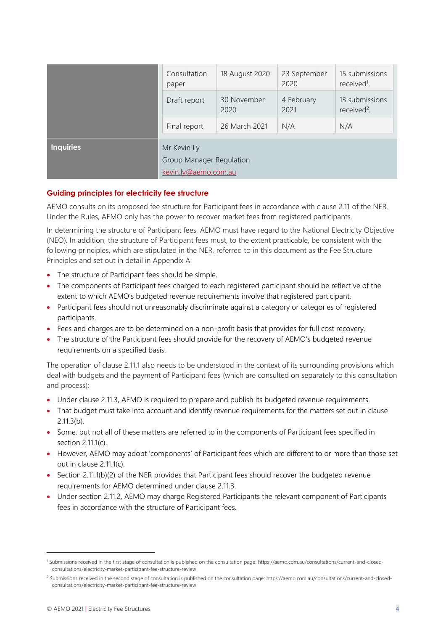|                  | Consultation<br>paper                                           | 18 August 2020      | 23 September<br>2020 | 15 submissions<br>received <sup>1</sup> . |
|------------------|-----------------------------------------------------------------|---------------------|----------------------|-------------------------------------------|
|                  | Draft report                                                    | 30 November<br>2020 | 4 February<br>2021   | 13 submissions<br>received <sup>2</sup> . |
|                  | Final report                                                    | 26 March 2021       | N/A                  | N/A                                       |
| <b>Inquiries</b> | Mr Kevin Ly<br>Group Manager Regulation<br>kevin.ly@aemo.com.au |                     |                      |                                           |

#### **Guiding principles for electricity fee structure**

AEMO consults on its proposed fee structure for Participant fees in accordance with clause 2.11 of the NER. Under the Rules, AEMO only has the power to recover market fees from registered participants.

In determining the structure of Participant fees, AEMO must have regard to the National Electricity Objective (NEO). In addition, the structure of Participant fees must, to the extent practicable, be consistent with the following principles, which are stipulated in the NER, referred to in this document as the Fee Structure Principles and set out in detail in Appendix A:

- The structure of Participant fees should be simple.
- The components of Participant fees charged to each registered participant should be reflective of the extent to which AEMO's budgeted revenue requirements involve that registered participant.
- Participant fees should not unreasonably discriminate against a category or categories of registered participants.
- Fees and charges are to be determined on a non-profit basis that provides for full cost recovery.
- The structure of the Participant fees should provide for the recovery of AEMO's budgeted revenue requirements on a specified basis.

The operation of clause 2.11.1 also needs to be understood in the context of its surrounding provisions which deal with budgets and the payment of Participant fees (which are consulted on separately to this consultation and process):

- Under clause 2.11.3, AEMO is required to prepare and publish its budgeted revenue requirements.
- That budget must take into account and identify revenue requirements for the matters set out in clause 2.11.3(b).
- Some, but not all of these matters are referred to in the components of Participant fees specified in section 2.11.1(c).
- However, AEMO may adopt 'components' of Participant fees which are different to or more than those set out in clause 2.11.1(c).
- Section 2.11.1(b)(2) of the NER provides that Participant fees should recover the budgeted revenue requirements for AEMO determined under clause 2.11.3.
- Under section 2.11.2, AEMO may charge Registered Participants the relevant component of Participants fees in accordance with the structure of Participant fees.

<sup>1</sup> Submissions received in the first stage of consultation is published on the consultation page: https://aemo.com.au/consultations/current-and-closedconsultations/electricity-market-participant-fee-structure-review

<sup>&</sup>lt;sup>2</sup> Submissions received in the second stage of consultation is published on the consultation page: https://aemo.com.au/consultations/current-and-closedconsultations/electricity-market-participant-fee-structure-review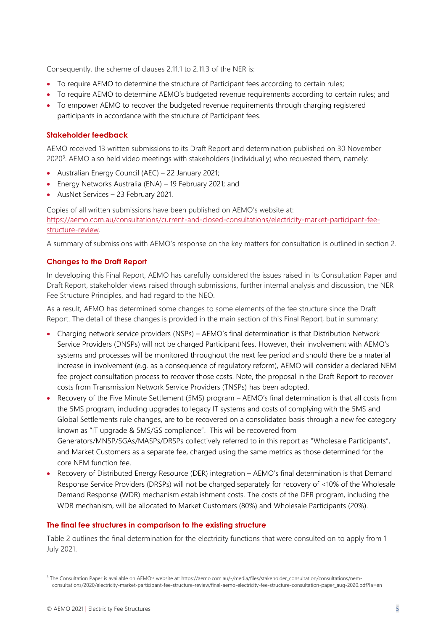Consequently, the scheme of clauses 2.11.1 to 2.11.3 of the NER is:

- To require AEMO to determine the structure of Participant fees according to certain rules;
- To require AEMO to determine AEMO's budgeted revenue requirements according to certain rules; and
- To empower AEMO to recover the budgeted revenue requirements through charging registered participants in accordance with the structure of Participant fees.

#### **Stakeholder feedback**

AEMO received 13 written submissions to its Draft Report and determination published on 30 November 2020<sup>3</sup>. AEMO also held video meetings with stakeholders (individually) who requested them, namely:

- Australian Energy Council (AEC) 22 January 2021;
- Energy Networks Australia (ENA) 19 February 2021; and
- AusNet Services 23 February 2021.

Copies of all written submissions have been published on AEMO's website at: [https://aemo.com.au/consultations/current-and-closed-consultations/electricity-market-participant-fee](https://aemo.com.au/consultations/current-and-closed-consultations/electricity-market-participant-fee-structure-review)[structure-review.](https://aemo.com.au/consultations/current-and-closed-consultations/electricity-market-participant-fee-structure-review)

A summary of submissions with AEMO's response on the key matters for consultation is outlined in section 2.

#### **Changes to the Draft Report**

In developing this Final Report, AEMO has carefully considered the issues raised in its Consultation Paper and Draft Report, stakeholder views raised through submissions, further internal analysis and discussion, the NER Fee Structure Principles, and had regard to the NEO.

As a result, AEMO has determined some changes to some elements of the fee structure since the Draft Report. The detail of these changes is provided in the main section of this Final Report, but in summary:

- Charging network service providers (NSPs) AEMO's final determination is that Distribution Network Service Providers (DNSPs) will not be charged Participant fees. However, their involvement with AEMO's systems and processes will be monitored throughout the next fee period and should there be a material increase in involvement (e.g. as a consequence of regulatory reform), AEMO will consider a declared NEM fee project consultation process to recover those costs. Note, the proposal in the Draft Report to recover costs from Transmission Network Service Providers (TNSPs) has been adopted.
- Recovery of the Five Minute Settlement (5MS) program AEMO's final determination is that all costs from the 5MS program, including upgrades to legacy IT systems and costs of complying with the 5MS and Global Settlements rule changes, are to be recovered on a consolidated basis through a new fee category known as "IT upgrade & 5MS/GS compliance". This will be recovered from Generators/MNSP/SGAs/MASPs/DRSPs collectively referred to in this report as "Wholesale Participants", and Market Customers as a separate fee, charged using the same metrics as those determined for the core NEM function fee.
- Recovery of Distributed Energy Resource (DER) integration AEMO's final determination is that Demand Response Service Providers (DRSPs) will not be charged separately for recovery of <10% of the Wholesale Demand Response (WDR) mechanism establishment costs. The costs of the DER program, including the WDR mechanism, will be allocated to Market Customers (80%) and Wholesale Participants (20%).

#### **The final fee structures in comparison to the existing structure**

Table 2 outlines the final determination for the electricity functions that were consulted on to apply from 1 July 2021.

<sup>3</sup> The Consultation Paper is available on AEMO's website at: https://aemo.com.au/-/media/files/stakeholder\_consultation/consultations/nemconsultations/2020/electricity-market-participant-fee-structure-review/final-aemo-electricity-fee-structure-consultation-paper\_aug-2020.pdf?la=en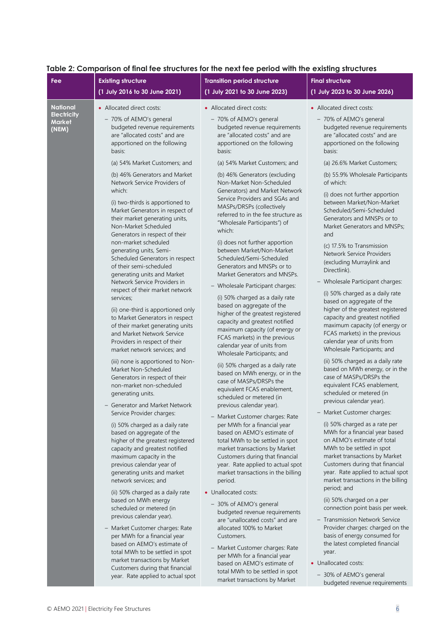| Fee                                                      | <b>Existing structure</b>                                                                                                                                                                                                                                                                                                                                                                                                                                                                                                                                                                                                                                                                                                                                                                                                                                                                                                                                                                                                                                                                                                                                                                                                                                                                                                                                                                                                                             | <b>Transition period structure</b>                                                                                                                                                                                                                                                                                                                                                                                                                                                                                                                                                                                                                                                                                                                                                                                                                                                                                                                                                                                                                                                                                                                                                                                                                                                                                                                                                                                                                                           | <b>Final structure</b>                                                                                                                                                                                                                                                                                                                                                                                                                                                                                                                                                                                                                                                                                                                                                                                                                                                                                                                                                                                                                                                                                                                                                                                                                                                                                                                                                                               |
|----------------------------------------------------------|-------------------------------------------------------------------------------------------------------------------------------------------------------------------------------------------------------------------------------------------------------------------------------------------------------------------------------------------------------------------------------------------------------------------------------------------------------------------------------------------------------------------------------------------------------------------------------------------------------------------------------------------------------------------------------------------------------------------------------------------------------------------------------------------------------------------------------------------------------------------------------------------------------------------------------------------------------------------------------------------------------------------------------------------------------------------------------------------------------------------------------------------------------------------------------------------------------------------------------------------------------------------------------------------------------------------------------------------------------------------------------------------------------------------------------------------------------|------------------------------------------------------------------------------------------------------------------------------------------------------------------------------------------------------------------------------------------------------------------------------------------------------------------------------------------------------------------------------------------------------------------------------------------------------------------------------------------------------------------------------------------------------------------------------------------------------------------------------------------------------------------------------------------------------------------------------------------------------------------------------------------------------------------------------------------------------------------------------------------------------------------------------------------------------------------------------------------------------------------------------------------------------------------------------------------------------------------------------------------------------------------------------------------------------------------------------------------------------------------------------------------------------------------------------------------------------------------------------------------------------------------------------------------------------------------------------|------------------------------------------------------------------------------------------------------------------------------------------------------------------------------------------------------------------------------------------------------------------------------------------------------------------------------------------------------------------------------------------------------------------------------------------------------------------------------------------------------------------------------------------------------------------------------------------------------------------------------------------------------------------------------------------------------------------------------------------------------------------------------------------------------------------------------------------------------------------------------------------------------------------------------------------------------------------------------------------------------------------------------------------------------------------------------------------------------------------------------------------------------------------------------------------------------------------------------------------------------------------------------------------------------------------------------------------------------------------------------------------------------|
|                                                          | (1 July 2016 to 30 June 2021)                                                                                                                                                                                                                                                                                                                                                                                                                                                                                                                                                                                                                                                                                                                                                                                                                                                                                                                                                                                                                                                                                                                                                                                                                                                                                                                                                                                                                         | (1 July 2021 to 30 June 2023)                                                                                                                                                                                                                                                                                                                                                                                                                                                                                                                                                                                                                                                                                                                                                                                                                                                                                                                                                                                                                                                                                                                                                                                                                                                                                                                                                                                                                                                | (1 July 2023 to 30 June 2026)                                                                                                                                                                                                                                                                                                                                                                                                                                                                                                                                                                                                                                                                                                                                                                                                                                                                                                                                                                                                                                                                                                                                                                                                                                                                                                                                                                        |
| <b>National</b><br><b>Electricity</b><br>Market<br>(NEM) | • Allocated direct costs:<br>- 70% of AEMO's general<br>budgeted revenue requirements<br>are "allocated costs" and are<br>apportioned on the following<br>basis:                                                                                                                                                                                                                                                                                                                                                                                                                                                                                                                                                                                                                                                                                                                                                                                                                                                                                                                                                                                                                                                                                                                                                                                                                                                                                      | • Allocated direct costs:<br>- 70% of AEMO's general<br>budgeted revenue requirements<br>are "allocated costs" and are<br>apportioned on the following<br>basis:                                                                                                                                                                                                                                                                                                                                                                                                                                                                                                                                                                                                                                                                                                                                                                                                                                                                                                                                                                                                                                                                                                                                                                                                                                                                                                             | • Allocated direct costs:<br>- 70% of AEMO's general<br>budgeted revenue requirements<br>are "allocated costs" and are<br>apportioned on the following<br>basis:                                                                                                                                                                                                                                                                                                                                                                                                                                                                                                                                                                                                                                                                                                                                                                                                                                                                                                                                                                                                                                                                                                                                                                                                                                     |
|                                                          | (a) 54% Market Customers; and<br>(b) 46% Generators and Market<br>Network Service Providers of<br>which:<br>(i) two-thirds is apportioned to<br>Market Generators in respect of<br>their market generating units,<br>Non-Market Scheduled<br>Generators in respect of their<br>non-market scheduled<br>generating units, Semi-<br>Scheduled Generators in respect<br>of their semi-scheduled<br>generating units and Market<br>Network Service Providers in<br>respect of their market network<br>services;<br>(ii) one-third is apportioned only<br>to Market Generators in respect<br>of their market generating units<br>and Market Network Service<br>Providers in respect of their<br>market network services; and<br>(iii) none is apportioned to Non-<br>Market Non-Scheduled<br>Generators in respect of their<br>non-market non-scheduled<br>generating units.<br>- Generator and Market Network<br>Service Provider charges:<br>(i) 50% charged as a daily rate<br>based on aggregate of the<br>higher of the greatest registered<br>capacity and greatest notified<br>maximum capacity in the<br>previous calendar year of<br>generating units and market<br>network services; and<br>(ii) 50% charged as a daily rate<br>based on MWh energy<br>scheduled or metered (in<br>previous calendar year).<br>- Market Customer charges: Rate<br>per MWh for a financial year<br>based on AEMO's estimate of<br>total MWh to be settled in spot | (a) 54% Market Customers; and<br>(b) 46% Generators (excluding<br>Non-Market Non-Scheduled<br>Generators) and Market Network<br>Service Providers and SGAs and<br>MASPs/DRSPs (collectively<br>referred to in the fee structure as<br>"Wholesale Participants") of<br>which:<br>(i) does not further apportion<br>between Market/Non-Market<br>Scheduled/Semi-Scheduled<br>Generators and MNSPs or to<br>Market Generators and MNSPs.<br>- Wholesale Participant charges:<br>(i) 50% charged as a daily rate<br>based on aggregate of the<br>higher of the greatest registered<br>capacity and greatest notified<br>maximum capacity (of energy or<br>FCAS markets) in the previous<br>calendar year of units from<br>Wholesale Participants; and<br>(ii) 50% charged as a daily rate<br>based on MWh energy, or in the<br>case of MASPs/DRSPs the<br>equivalent FCAS enablement,<br>scheduled or metered (in<br>previous calendar year).<br>- Market Customer charges: Rate<br>per MWh for a financial year<br>based on AEMO's estimate of<br>total MWh to be settled in spot<br>market transactions by Market<br>Customers during that financial<br>year. Rate applied to actual spot<br>market transactions in the billing<br>period.<br>• Unallocated costs:<br>- 30% of AEMO's general<br>budgeted revenue requirements<br>are "unallocated costs" and are<br>allocated 100% to Market<br>Customers.<br>- Market Customer charges: Rate<br>per MWh for a financial year | (a) 26.6% Market Customers;<br>(b) 55.9% Wholesale Participants<br>of which:<br>(i) does not further apportion<br>between Market/Non-Market<br>Scheduled/Semi-Scheduled<br>Generators and MNSPs or to<br>Market Generators and MNSPs;<br>and<br>(c) 17.5% to Transmission<br>Network Service Providers<br>(excluding Murraylink and<br>Directlink).<br>- Wholesale Participant charges:<br>(i) 50% charged as a daily rate<br>based on aggregate of the<br>higher of the greatest registered<br>capacity and greatest notified<br>maximum capacity (of energy or<br>FCAS markets) in the previous<br>calendar year of units from<br>Wholesale Participants; and<br>(ii) 50% charged as a daily rate<br>based on MWh energy, or in the<br>case of MASPs/DRSPs the<br>equivalent FCAS enablement,<br>scheduled or metered (in<br>previous calendar year).<br>- Market Customer charges:<br>(i) 50% charged as a rate per<br>MWh for a financial year based<br>on AEMO's estimate of total<br>MWh to be settled in spot<br>market transactions by Market<br>Customers during that financial<br>year. Rate applied to actual spot<br>market transactions in the billing<br>period; and<br>(ii) 50% charged on a per<br>connection point basis per week.<br>- Transmission Network Service<br>Provider charges: charged on the<br>basis of energy consumed for<br>the latest completed financial<br>year. |
|                                                          | market transactions by Market<br>Customers during that financial<br>year. Rate applied to actual spot                                                                                                                                                                                                                                                                                                                                                                                                                                                                                                                                                                                                                                                                                                                                                                                                                                                                                                                                                                                                                                                                                                                                                                                                                                                                                                                                                 | based on AEMO's estimate of<br>total MWh to be settled in spot                                                                                                                                                                                                                                                                                                                                                                                                                                                                                                                                                                                                                                                                                                                                                                                                                                                                                                                                                                                                                                                                                                                                                                                                                                                                                                                                                                                                               | • Unallocated costs:<br>- 30% of AEMO's general                                                                                                                                                                                                                                                                                                                                                                                                                                                                                                                                                                                                                                                                                                                                                                                                                                                                                                                                                                                                                                                                                                                                                                                                                                                                                                                                                      |
|                                                          |                                                                                                                                                                                                                                                                                                                                                                                                                                                                                                                                                                                                                                                                                                                                                                                                                                                                                                                                                                                                                                                                                                                                                                                                                                                                                                                                                                                                                                                       | market transactions by Market                                                                                                                                                                                                                                                                                                                                                                                                                                                                                                                                                                                                                                                                                                                                                                                                                                                                                                                                                                                                                                                                                                                                                                                                                                                                                                                                                                                                                                                | budgeted revenue requirements                                                                                                                                                                                                                                                                                                                                                                                                                                                                                                                                                                                                                                                                                                                                                                                                                                                                                                                                                                                                                                                                                                                                                                                                                                                                                                                                                                        |

#### **Table 2: Comparison of final fee structures for the next fee period with the existing structures**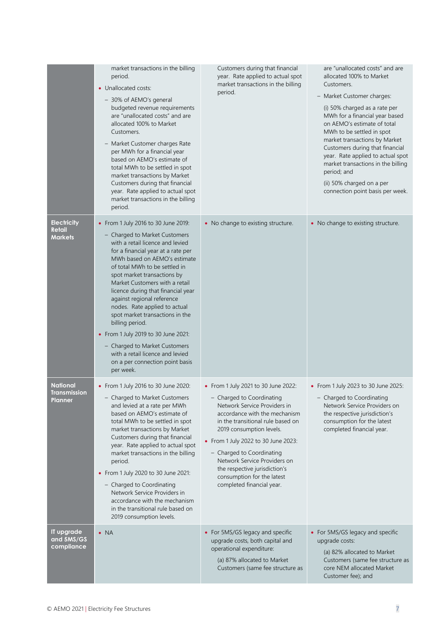|                                                | market transactions in the billing<br>period.<br>• Unallocated costs:<br>- 30% of AEMO's general<br>budgeted revenue requirements<br>are "unallocated costs" and are<br>allocated 100% to Market<br>Customers.<br>- Market Customer charges Rate<br>per MWh for a financial year<br>based on AEMO's estimate of<br>total MWh to be settled in spot<br>market transactions by Market<br>Customers during that financial<br>year. Rate applied to actual spot<br>market transactions in the billing<br>period.                                                                                            | Customers during that financial<br>year. Rate applied to actual spot<br>market transactions in the billing<br>period.                                                                                                                                                                                                                                                                              | are "unallocated costs" and are<br>allocated 100% to Market<br>Customers.<br>- Market Customer charges:<br>(i) 50% charged as a rate per<br>MWh for a financial year based<br>on AEMO's estimate of total<br>MWh to be settled in spot<br>market transactions by Market<br>Customers during that financial<br>year. Rate applied to actual spot<br>market transactions in the billing<br>period; and<br>(ii) 50% charged on a per<br>connection point basis per week. |
|------------------------------------------------|---------------------------------------------------------------------------------------------------------------------------------------------------------------------------------------------------------------------------------------------------------------------------------------------------------------------------------------------------------------------------------------------------------------------------------------------------------------------------------------------------------------------------------------------------------------------------------------------------------|----------------------------------------------------------------------------------------------------------------------------------------------------------------------------------------------------------------------------------------------------------------------------------------------------------------------------------------------------------------------------------------------------|-----------------------------------------------------------------------------------------------------------------------------------------------------------------------------------------------------------------------------------------------------------------------------------------------------------------------------------------------------------------------------------------------------------------------------------------------------------------------|
| <b>Electricity</b><br>Retail<br><b>Markets</b> | • From 1 July 2016 to 30 June 2019:<br>- Charged to Market Customers<br>with a retail licence and levied<br>for a financial year at a rate per<br>MWh based on AEMO's estimate<br>of total MWh to be settled in<br>spot market transactions by<br>Market Customers with a retail<br>licence during that financial year<br>against regional reference<br>nodes. Rate applied to actual<br>spot market transactions in the<br>billing period.<br>• From 1 July 2019 to 30 June 2021:<br>- Charged to Market Customers<br>with a retail licence and levied<br>on a per connection point basis<br>per week. | • No change to existing structure.                                                                                                                                                                                                                                                                                                                                                                 | • No change to existing structure.                                                                                                                                                                                                                                                                                                                                                                                                                                    |
| <b>National</b><br>Transmission<br>Planner     | • From 1 July 2016 to 30 June 2020:<br>- Charged to Market Customers<br>and levied at a rate per MWh<br>based on AEMO's estimate of<br>total MWh to be settled in spot<br>market transactions by Market<br>Customers during that financial<br>year. Rate applied to actual spot<br>market transactions in the billing<br>period.<br>• From 1 July 2020 to 30 June 2021:<br>- Charged to Coordinating<br>Network Service Providers in<br>accordance with the mechanism<br>in the transitional rule based on<br>2019 consumption levels.                                                                  | • From 1 July 2021 to 30 June 2022:<br>- Charged to Coordinating<br>Network Service Providers in<br>accordance with the mechanism<br>in the transitional rule based on<br>2019 consumption levels.<br>• From 1 July 2022 to 30 June 2023:<br>- Charged to Coordinating<br>Network Service Providers on<br>the respective jurisdiction's<br>consumption for the latest<br>completed financial year. | • From 1 July 2023 to 30 June 2025:<br>- Charged to Coordinating<br>Network Service Providers on<br>the respective jurisdiction's<br>consumption for the latest<br>completed financial year.                                                                                                                                                                                                                                                                          |
| IT upgrade<br>and 5MS/GS<br>compliance         | $\bullet$ NA                                                                                                                                                                                                                                                                                                                                                                                                                                                                                                                                                                                            | • For 5MS/GS legacy and specific<br>upgrade costs, both capital and<br>operational expenditure:<br>(a) 87% allocated to Market<br>Customers (same fee structure as                                                                                                                                                                                                                                 | • For 5MS/GS legacy and specific<br>upgrade costs:<br>(a) 82% allocated to Market<br>Customers (same fee structure as<br>core NEM allocated Market<br>Customer fee); and                                                                                                                                                                                                                                                                                              |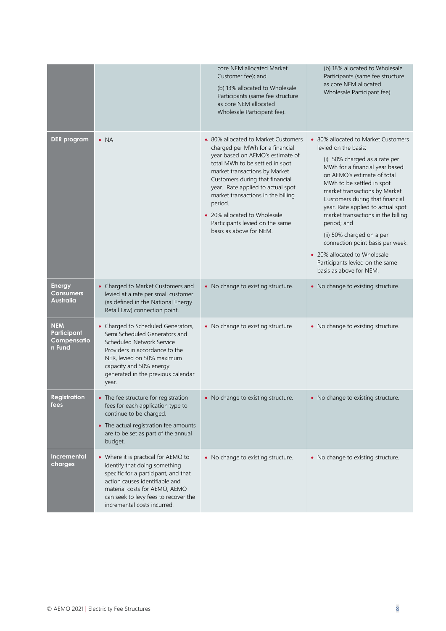|                                                    |                                                                                                                                                                                                                                                        | core NEM allocated Market<br>Customer fee); and<br>(b) 13% allocated to Wholesale<br>Participants (same fee structure<br>as core NEM allocated<br>Wholesale Participant fee).                                                                                                                                                                                                                         | (b) 18% allocated to Wholesale<br>Participants (same fee structure<br>as core NEM allocated<br>Wholesale Participant fee).                                                                                                                                                                                                                                                                                                                                                                                              |
|----------------------------------------------------|--------------------------------------------------------------------------------------------------------------------------------------------------------------------------------------------------------------------------------------------------------|-------------------------------------------------------------------------------------------------------------------------------------------------------------------------------------------------------------------------------------------------------------------------------------------------------------------------------------------------------------------------------------------------------|-------------------------------------------------------------------------------------------------------------------------------------------------------------------------------------------------------------------------------------------------------------------------------------------------------------------------------------------------------------------------------------------------------------------------------------------------------------------------------------------------------------------------|
| <b>DER</b> program                                 | $\bullet$ NA                                                                                                                                                                                                                                           | • 80% allocated to Market Customers<br>charged per MWh for a financial<br>year based on AEMO's estimate of<br>total MWh to be settled in spot<br>market transactions by Market<br>Customers during that financial<br>year. Rate applied to actual spot<br>market transactions in the billing<br>period.<br>• 20% allocated to Wholesale<br>Participants levied on the same<br>basis as above for NEM. | • 80% allocated to Market Customers<br>levied on the basis:<br>(i) 50% charged as a rate per<br>MWh for a financial year based<br>on AEMO's estimate of total<br>MWh to be settled in spot<br>market transactions by Market<br>Customers during that financial<br>year. Rate applied to actual spot<br>market transactions in the billing<br>period; and<br>(ii) 50% charged on a per<br>connection point basis per week.<br>• 20% allocated to Wholesale<br>Participants levied on the same<br>basis as above for NEM. |
| <b>Energy</b><br>Consumers<br>Australia            | • Charged to Market Customers and<br>levied at a rate per small customer<br>(as defined in the National Energy<br>Retail Law) connection point.                                                                                                        | • No change to existing structure.                                                                                                                                                                                                                                                                                                                                                                    | • No change to existing structure.                                                                                                                                                                                                                                                                                                                                                                                                                                                                                      |
| <b>NEM</b><br>Participant<br>Compensatio<br>n Fund | • Charged to Scheduled Generators,<br>Semi Scheduled Generators and<br>Scheduled Network Service<br>Providers in accordance to the<br>NER, levied on 50% maximum<br>capacity and 50% energy<br>generated in the previous calendar<br>year.             | • No change to existing structure                                                                                                                                                                                                                                                                                                                                                                     | • No change to existing structure.                                                                                                                                                                                                                                                                                                                                                                                                                                                                                      |
| <b>Registration</b><br>fees                        | • The fee structure for registration<br>fees for each application type to<br>continue to be charged.<br>• The actual registration fee amounts<br>are to be set as part of the annual<br>budget.                                                        | • No change to existing structure.                                                                                                                                                                                                                                                                                                                                                                    | • No change to existing structure.                                                                                                                                                                                                                                                                                                                                                                                                                                                                                      |
| <b>Incremental</b><br>charges                      | • Where it is practical for AEMO to<br>identify that doing something<br>specific for a participant, and that<br>action causes identifiable and<br>material costs for AEMO, AEMO<br>can seek to levy fees to recover the<br>incremental costs incurred. | • No change to existing structure.                                                                                                                                                                                                                                                                                                                                                                    | • No change to existing structure.                                                                                                                                                                                                                                                                                                                                                                                                                                                                                      |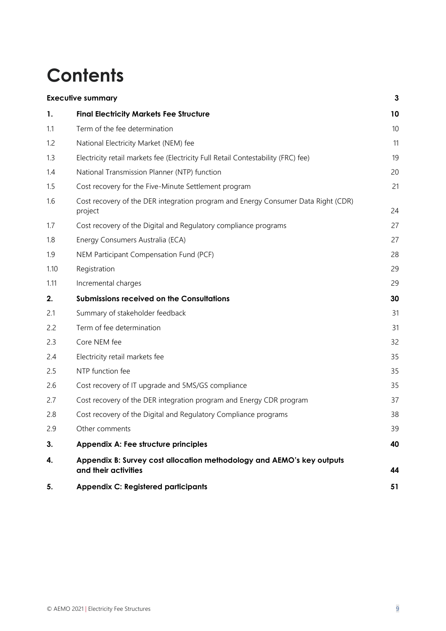# **Contents**

|      | <b>Executive summary</b>                                                                      | 3  |
|------|-----------------------------------------------------------------------------------------------|----|
| 1.   | <b>Final Electricity Markets Fee Structure</b>                                                | 10 |
| 1.1  | Term of the fee determination                                                                 | 10 |
| 1.2  | National Electricity Market (NEM) fee                                                         | 11 |
| 1.3  | Electricity retail markets fee (Electricity Full Retail Contestability (FRC) fee)             | 19 |
| 1.4  | National Transmission Planner (NTP) function                                                  | 20 |
| 1.5  | Cost recovery for the Five-Minute Settlement program                                          | 21 |
| 1.6  | Cost recovery of the DER integration program and Energy Consumer Data Right (CDR)<br>project  | 24 |
| 1.7  | Cost recovery of the Digital and Regulatory compliance programs                               | 27 |
| 1.8  | Energy Consumers Australia (ECA)                                                              | 27 |
| 1.9  | NEM Participant Compensation Fund (PCF)                                                       | 28 |
| 1.10 | Registration                                                                                  | 29 |
| 1.11 | Incremental charges                                                                           | 29 |
| 2.   | <b>Submissions received on the Consultations</b>                                              | 30 |
| 2.1  | Summary of stakeholder feedback                                                               | 31 |
| 2.2  | Term of fee determination                                                                     | 31 |
| 2.3  | Core NEM fee                                                                                  | 32 |
| 2.4  | Electricity retail markets fee                                                                | 35 |
| 2.5  | NTP function fee                                                                              | 35 |
| 2.6  | Cost recovery of IT upgrade and 5MS/GS compliance                                             | 35 |
| 2.7  | Cost recovery of the DER integration program and Energy CDR program                           | 37 |
| 2.8  | Cost recovery of the Digital and Regulatory Compliance programs                               | 38 |
| 2.9  | Other comments                                                                                | 39 |
| 3.   | Appendix A: Fee structure principles                                                          | 40 |
| 4.   | Appendix B: Survey cost allocation methodology and AEMO's key outputs<br>and their activities | 44 |
| 5.   | <b>Appendix C: Registered participants</b>                                                    | 51 |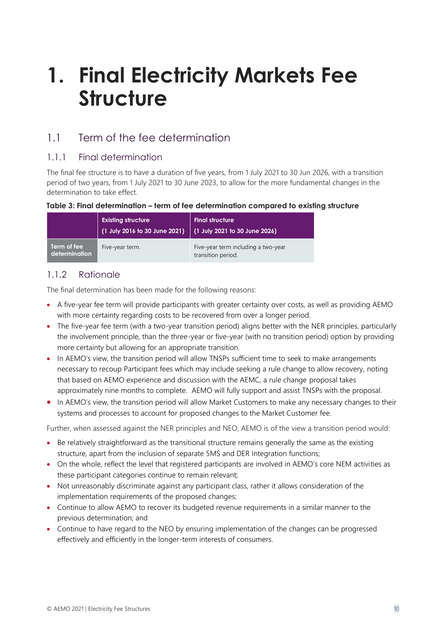# <span id="page-9-0"></span>**1. Final Electricity Markets Fee Structure**

# <span id="page-9-1"></span>1.1 Term of the fee determination

#### 1.1.1 Final determination

The final fee structure is to have a duration of five years, from 1 July 2021 to 30 Jun 2026, with a transition period of two years, from 1 July 2021 to 30 June 2023, to allow for the more fundamental changes in the determination to take effect.

#### **Table 3: Final determination – term of fee determination compared to existing structure**

|                              | <b>Existing structure</b><br>(1 July 2016 to 30 June 2021) | <b>Final structure</b><br>$(1$ July 2021 to 30 June 2026) |
|------------------------------|------------------------------------------------------------|-----------------------------------------------------------|
| Term of fee<br>determination | Five-year term.                                            | Five-year term including a two-year<br>transition period. |

#### 1.1.2 Rationale

The final determination has been made for the following reasons:

- A five-year fee term will provide participants with greater certainty over costs, as well as providing AEMO with more certainty regarding costs to be recovered from over a longer period.
- The five-year fee term (with a two-year transition period) aligns better with the NER principles, particularly the involvement principle, than the three-year or five-year (with no transition period) option by providing more certainty but allowing for an appropriate transition.
- In AEMO's view, the transition period will allow TNSPs sufficient time to seek to make arrangements necessary to recoup Participant fees which may include seeking a rule change to allow recovery, noting that based on AEMO experience and discussion with the AEMC, a rule change proposal takes approximately nine months to complete. AEMO will fully support and assist TNSPs with the proposal.
- In AEMO's view, the transition period will allow Market Customers to make any necessary changes to their systems and processes to account for proposed changes to the Market Customer fee.

Further, when assessed against the NER principles and NEO, AEMO is of the view a transition period would:

- Be relatively straightforward as the transitional structure remains generally the same as the existing structure, apart from the inclusion of separate 5MS and DER Integration functions;
- On the whole, reflect the level that registered participants are involved in AEMO's core NEM activities as these participant categories continue to remain relevant;
- Not unreasonably discriminate against any participant class, rather it allows consideration of the implementation requirements of the proposed changes;
- Continue to allow AEMO to recover its budgeted revenue requirements in a similar manner to the previous determination; and
- Continue to have regard to the NEO by ensuring implementation of the changes can be progressed effectively and efficiently in the longer-term interests of consumers.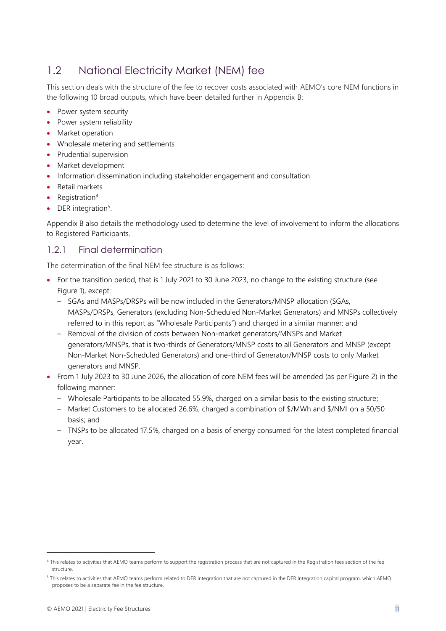## <span id="page-10-0"></span>1.2 National Electricity Market (NEM) fee

This section deals with the structure of the fee to recover costs associated with AEMO's core NEM functions in the following 10 broad outputs, which have been detailed further in Appendix B:

- Power system security
- Power system reliability
- Market operation
- Wholesale metering and settlements
- Prudential supervision
- Market development
- Information dissemination including stakeholder engagement and consultation
- Retail markets
- Registration<sup>4</sup>
- DER integration<sup>5</sup>.

Appendix B also details the methodology used to determine the level of involvement to inform the allocations to Registered Participants.

#### 1.2.1 Final determination

The determination of the final NEM fee structure is as follows:

- For the transition period, that is 1 July 2021 to 30 June 2023, no change to the existing structure (see Figure 1), except:
	- SGAs and MASPs/DRSPs will be now included in the Generators/MNSP allocation (SGAs, MASPs/DRSPs, Generators (excluding Non-Scheduled Non-Market Generators) and MNSPs collectively referred to in this report as "Wholesale Participants") and charged in a similar manner; and
	- Removal of the division of costs between Non-market generators/MNSPs and Market generators/MNSPs, that is two-thirds of Generators/MNSP costs to all Generators and MNSP (except Non-Market Non-Scheduled Generators) and one-third of Generator/MNSP costs to only Market generators and MNSP.
- From 1 July 2023 to 30 June 2026, the allocation of core NEM fees will be amended (as per Figure 2) in the following manner:
	- Wholesale Participants to be allocated 55.9%, charged on a similar basis to the existing structure;
	- Market Customers to be allocated 26.6%, charged a combination of \$/MWh and \$/NMI on a 50/50 basis; and
	- TNSPs to be allocated 17.5%, charged on a basis of energy consumed for the latest completed financial year.

<sup>4</sup> This relates to activities that AEMO teams perform to support the registration process that are not captured in the Registration fees section of the fee structure.

<sup>5</sup> This relates to activities that AEMO teams perform related to DER integration that are not captured in the DER Integration capital program, which AEMO proposes to be a separate fee in the fee structure.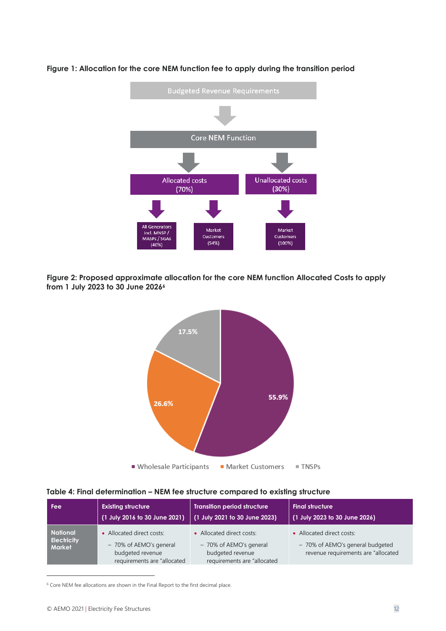

**Figure 1: Allocation for the core NEM function fee to apply during the transition period**

**Figure 2: Proposed approximate allocation for the core NEM function Allocated Costs to apply from 1 July 2023 to 30 June 2026<sup>6</sup>**



#### **Table 4: Final determination – NEM fee structure compared to existing structure**

| <b>Fee</b>                                             | <b>Existing structure</b>                                                                               | <b>Transition period structure</b>                                                                      | <b>Final structure</b>                                                                               |
|--------------------------------------------------------|---------------------------------------------------------------------------------------------------------|---------------------------------------------------------------------------------------------------------|------------------------------------------------------------------------------------------------------|
|                                                        | (1 July 2016 to 30 June 2021)                                                                           | (1 July 2021 to 30 June 2023)                                                                           | (1 July 2023 to 30 June 2026)                                                                        |
| <b>National</b><br><b>Electricity</b><br><b>Market</b> | • Allocated direct costs:<br>- 70% of AEMO's general<br>budgeted revenue<br>requirements are "allocated | • Allocated direct costs:<br>- 70% of AEMO's general<br>budgeted revenue<br>requirements are "allocated | • Allocated direct costs:<br>- 70% of AEMO's general budgeted<br>revenue requirements are "allocated |

 $6$  Core NEM fee allocations are shown in the Final Report to the first decimal place.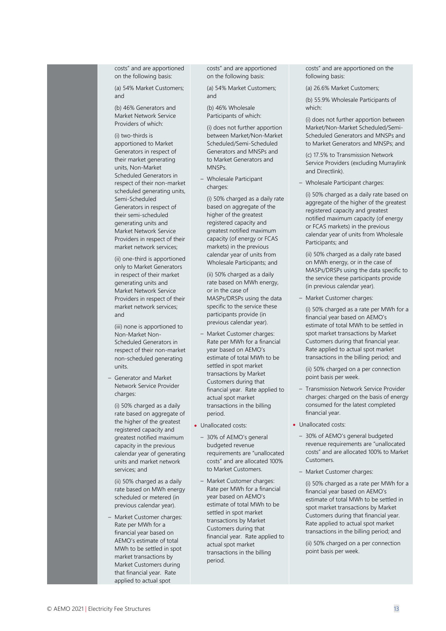costs" and are apportioned on the following basis:

(a) 54% Market Customers; and

(b) 46% Generators and Market Network Service Providers of which:

(i) two-thirds is apportioned to Market Generators in respect of their market generating units, Non-Market Scheduled Generators in respect of their non-market scheduled generating units, Semi-Scheduled Generators in respect of their semi-scheduled generating units and Market Network Service Providers in respect of their market network services;

(ii) one-third is apportioned only to Market Generators in respect of their market generating units and Market Network Service Providers in respect of their market network services; and

(iii) none is apportioned to Non-Market Non-Scheduled Generators in respect of their non-market non-scheduled generating units.

– Generator and Market Network Service Provider charges:

(i) 50% charged as a daily rate based on aggregate of the higher of the greatest registered capacity and greatest notified maximum capacity in the previous calendar year of generating units and market network services; and

(ii) 50% charged as a daily rate based on MWh energy scheduled or metered (in previous calendar year).

– Market Customer charges: Rate per MWh for a financial year based on AEMO's estimate of total MWh to be settled in spot market transactions by Market Customers during that financial year. Rate applied to actual spot

costs" and are apportioned on the following basis:

(a) 54% Market Customers; and

(b) 46% Wholesale Participants of which:

(i) does not further apportion between Market/Non-Market Scheduled/Semi-Scheduled Generators and MNSPs and to Market Generators and **MNSPs** 

– Wholesale Participant charges:

(i) 50% charged as a daily rate based on aggregate of the higher of the greatest registered capacity and greatest notified maximum capacity (of energy or FCAS markets) in the previous calendar year of units from Wholesale Participants; and

(ii) 50% charged as a daily rate based on MWh energy, or in the case of MASPs/DRSPs using the data specific to the service these participants provide (in previous calendar year).

- Market Customer charges: Rate per MWh for a financial year based on AEMO's estimate of total MWh to be settled in spot market transactions by Market Customers during that financial year. Rate applied to actual spot market transactions in the billing period.
- Unallocated costs:
	- 30% of AEMO's general budgeted revenue requirements are "unallocated costs" and are allocated 100% to Market Customers.
	- Market Customer charges: Rate per MWh for a financial year based on AEMO's estimate of total MWh to be settled in spot market transactions by Market Customers during that financial year. Rate applied to actual spot market transactions in the billing period.

costs" and are apportioned on the following basis:

(a) 26.6% Market Customers;

(b) 55.9% Wholesale Participants of which:

(i) does not further apportion between Market/Non-Market Scheduled/Semi-Scheduled Generators and MNSPs and to Market Generators and MNSPs; and

(c) 17.5% to Transmission Network Service Providers (excluding Murraylink and Directlink).

– Wholesale Participant charges:

(i) 50% charged as a daily rate based on aggregate of the higher of the greatest registered capacity and greatest notified maximum capacity (of energy or FCAS markets) in the previous calendar year of units from Wholesale Participants; and

(ii) 50% charged as a daily rate based on MWh energy, or in the case of MASPs/DRSPs using the data specific to the service these participants provide (in previous calendar year).

– Market Customer charges:

(i) 50% charged as a rate per MWh for a financial year based on AEMO's estimate of total MWh to be settled in spot market transactions by Market Customers during that financial year. Rate applied to actual spot market transactions in the billing period; and

(ii) 50% charged on a per connection point basis per week.

- Transmission Network Service Provider charges: charged on the basis of energy consumed for the latest completed financial year.
- Unallocated costs:
	- 30% of AEMO's general budgeted revenue requirements are "unallocated costs" and are allocated 100% to Market Customers.
	- Market Customer charges:

(i) 50% charged as a rate per MWh for a financial year based on AEMO's estimate of total MWh to be settled in spot market transactions by Market Customers during that financial year. Rate applied to actual spot market transactions in the billing period; and

(ii) 50% charged on a per connection point basis per week.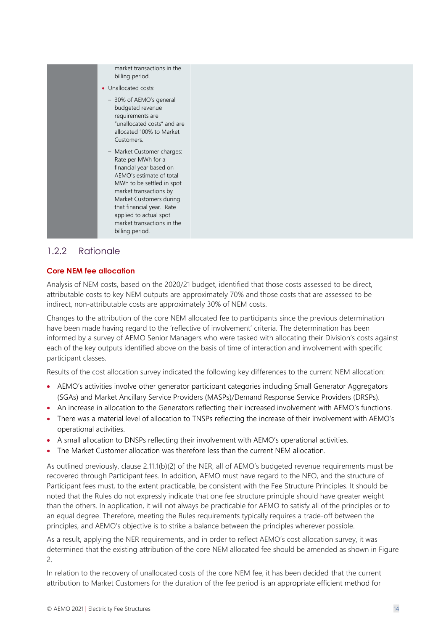| market transactions in the<br>billing period.                                                                                                                                                                                                                                                     |  |
|---------------------------------------------------------------------------------------------------------------------------------------------------------------------------------------------------------------------------------------------------------------------------------------------------|--|
| • Unallocated costs:                                                                                                                                                                                                                                                                              |  |
| - 30% of AEMO's general<br>budgeted revenue<br>requirements are<br>"unallocated costs" and are<br>allocated 100% to Market<br>Customers.                                                                                                                                                          |  |
| - Market Customer charges:<br>Rate per MWh for a<br>financial year based on<br>AEMO's estimate of total<br>MWh to be settled in spot<br>market transactions by<br>Market Customers during<br>that financial year. Rate<br>applied to actual spot<br>market transactions in the<br>billing period. |  |

#### 1.2.2 Rationale

#### **Core NEM fee allocation**

Analysis of NEM costs, based on the 2020/21 budget, identified that those costs assessed to be direct, attributable costs to key NEM outputs are approximately 70% and those costs that are assessed to be indirect, non-attributable costs are approximately 30% of NEM costs.

Changes to the attribution of the core NEM allocated fee to participants since the previous determination have been made having regard to the 'reflective of involvement' criteria. The determination has been informed by a survey of AEMO Senior Managers who were tasked with allocating their Division's costs against each of the key outputs identified above on the basis of time of interaction and involvement with specific participant classes.

Results of the cost allocation survey indicated the following key differences to the current NEM allocation:

- AEMO's activities involve other generator participant categories including Small Generator Aggregators (SGAs) and Market Ancillary Service Providers (MASPs)/Demand Response Service Providers (DRSPs).
- An increase in allocation to the Generators reflecting their increased involvement with AEMO's functions.
- There was a material level of allocation to TNSPs reflecting the increase of their involvement with AEMO's operational activities.
- A small allocation to DNSPs reflecting their involvement with AEMO's operational activities.
- The Market Customer allocation was therefore less than the current NEM allocation.

As outlined previously, clause 2.11.1(b)(2) of the NER, all of AEMO's budgeted revenue requirements must be recovered through Participant fees. In addition, AEMO must have regard to the NEO, and the structure of Participant fees must, to the extent practicable, be consistent with the Fee Structure Principles. It should be noted that the Rules do not expressly indicate that one fee structure principle should have greater weight than the others. In application, it will not always be practicable for AEMO to satisfy all of the principles or to an equal degree. Therefore, meeting the Rules requirements typically requires a trade-off between the principles, and AEMO's objective is to strike a balance between the principles wherever possible.

As a result, applying the NER requirements, and in order to reflect AEMO's cost allocation survey, it was determined that the existing attribution of the core NEM allocated fee should be amended as shown in Figure 2.

In relation to the recovery of unallocated costs of the core NEM fee, it has been decided that the current attribution to Market Customers for the duration of the fee period is an appropriate efficient method for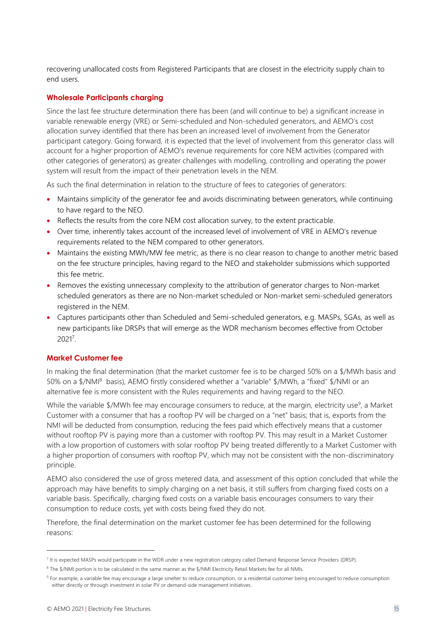recovering unallocated costs from Registered Participants that are closest in the electricity supply chain to end users.

#### **Wholesale Participants charging**

Since the last fee structure determination there has been (and will continue to be) a significant increase in variable renewable energy (VRE) or Semi-scheduled and Non-scheduled generators, and AEMO's cost allocation survey identified that there has been an increased level of involvement from the Generator participant category. Going forward, it is expected that the level of involvement from this generator class will account for a higher proportion of AEMO's revenue requirements for core NEM activities (compared with other categories of generators) as greater challenges with modelling, controlling and operating the power system will result from the impact of their penetration levels in the NEM.

As such the final determination in relation to the structure of fees to categories of generators:

- Maintains simplicity of the generator fee and avoids discriminating between generators, while continuing to have regard to the NEO.
- Reflects the results from the core NEM cost allocation survey, to the extent practicable.
- Over time, inherently takes account of the increased level of involvement of VRE in AEMO's revenue requirements related to the NEM compared to other generators.
- Maintains the existing MWh/MW fee metric, as there is no clear reason to change to another metric based on the fee structure principles, having regard to the NEO and stakeholder submissions which supported this fee metric.
- Removes the existing unnecessary complexity to the attribution of generator charges to Non-market scheduled generators as there are no Non-market scheduled or Non-market semi-scheduled generators registered in the NEM.
- Captures participants other than Scheduled and Semi-scheduled generators, e.g. MASPs, SGAs, as well as new participants like DRSPs that will emerge as the WDR mechanism becomes effective from October 2021<sup>7</sup> .

#### **Market Customer fee**

In making the final determination (that the market customer fee is to be charged 50% on a \$/MWh basis and 50% on a \$/NMI<sup>8</sup> basis), AEMO firstly considered whether a "variable" \$/MWh, a "fixed" \$/NMI or an alternative fee is more consistent with the Rules requirements and having regard to the NEO.

While the variable \$/MWh fee may encourage consumers to reduce, at the margin, electricity use<sup>9</sup>, a Market Customer with a consumer that has a rooftop PV will be charged on a "net" basis; that is, exports from the NMI will be deducted from consumption, reducing the fees paid which effectively means that a customer without rooftop PV is paying more than a customer with rooftop PV. This may result in a Market Customer with a low proportion of customers with solar rooftop PV being treated differently to a Market Customer with a higher proportion of consumers with rooftop PV, which may not be consistent with the non-discriminatory principle.

AEMO also considered the use of gross metered data, and assessment of this option concluded that while the approach may have benefits to simply charging on a net basis, it still suffers from charging fixed costs on a variable basis. Specifically, charging fixed costs on a variable basis encourages consumers to vary their consumption to reduce costs, yet with costs being fixed they do not.

Therefore, the final determination on the market customer fee has been determined for the following reasons:

<sup>&</sup>lt;sup>7</sup> It is expected MASPs would participate in the WDR under a new registration category called Demand Response Service Providers (DRSP).

<sup>8</sup> The \$/NMI portion is to be calculated in the same manner as the \$/NMI Electricity Retail Markets fee for all NMIs.

<sup>&</sup>lt;sup>9</sup> For example, a variable fee may encourage a large smelter to reduce consumption, or a residential customer being encouraged to reduce consumption either directly or through investment in solar PV or demand-side management initiatives.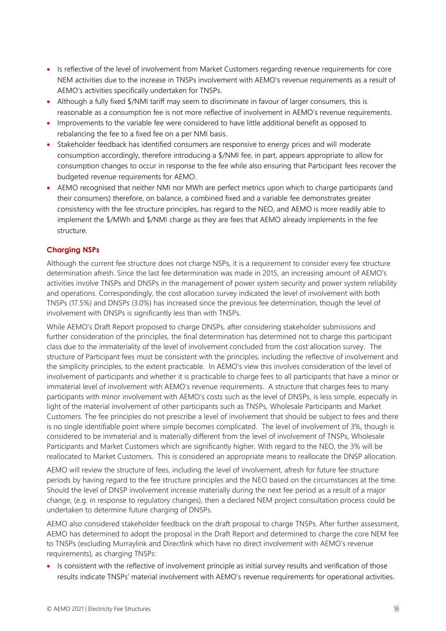- Is reflective of the level of involvement from Market Customers regarding revenue requirements for core NEM activities due to the increase in TNSPs involvement with AEMO's revenue requirements as a result of AEMO's activities specifically undertaken for TNSPs.
- Although a fully fixed \$/NMI tariff may seem to discriminate in favour of larger consumers, this is reasonable as a consumption fee is not more reflective of involvement in AEMO's revenue requirements.
- Improvements to the variable fee were considered to have little additional benefit as opposed to rebalancing the fee to a fixed fee on a per NMI basis.
- Stakeholder feedback has identified consumers are responsive to energy prices and will moderate consumption accordingly, therefore introducing a \$/NMI fee, in part, appears appropriate to allow for consumption changes to occur in response to the fee while also ensuring that Participant fees recover the budgeted revenue requirements for AEMO.
- AEMO recognised that neither NMI nor MWh are perfect metrics upon which to charge participants (and their consumers) therefore, on balance, a combined fixed and a variable fee demonstrates greater consistency with the fee structure principles, has regard to the NEO, and AEMO is more readily able to implement the \$/MWh and \$/NMI charge as they are fees that AEMO already implements in the fee structure.

#### **Charging NSPs**

Although the current fee structure does not charge NSPs, it is a requirement to consider every fee structure determination afresh. Since the last fee determination was made in 2015, an increasing amount of AEMO's activities involve TNSPs and DNSPs in the management of power system security and power system reliability and operations. Correspondingly, the cost allocation survey indicated the level of involvement with both TNSPs (17.5%) and DNSPs (3.0%) has increased since the previous fee determination, though the level of involvement with DNSPs is significantly less than with TNSPs.

While AEMO's Draft Report proposed to charge DNSPs, after considering stakeholder submissions and further consideration of the principles, the final determination has determined not to charge this participant class due to the immateriality of the level of involvement concluded from the cost allocation survey. The structure of Participant fees must be consistent with the principles, including the reflective of involvement and the simplicity principles, to the extent practicable. In AEMO's view this involves consideration of the level of involvement of participants and whether it is practicable to charge fees to all participants that have a minor or immaterial level of involvement with AEMO's revenue requirements. A structure that charges fees to many participants with minor involvement with AEMO's costs such as the level of DNSPs, is less simple, especially in light of the material involvement of other participants such as TNSPs, Wholesale Participants and Market Customers. The fee principles do not prescribe a level of involvement that should be subject to fees and there is no single identifiable point where simple becomes complicated. The level of involvement of 3%, though is considered to be immaterial and is materially different from the level of involvement of TNSPs, Wholesale Participants and Market Customers which are significantly higher. With regard to the NEO, the 3% will be reallocated to Market Customers. This is considered an appropriate means to reallocate the DNSP allocation.

AEMO will review the structure of fees, including the level of involvement, afresh for future fee structure periods by having regard to the fee structure principles and the NEO based on the circumstances at the time. Should the level of DNSP involvement increase materially during the next fee period as a result of a major change, (e.g. in response to regulatory changes), then a declared NEM project consultation process could be undertaken to determine future charging of DNSPs.

AEMO also considered stakeholder feedback on the draft proposal to charge TNSPs. After further assessment, AEMO has determined to adopt the proposal in the Draft Report and determined to charge the core NEM fee to TNSPs (excluding Murraylink and Directlink which have no direct involvement with AEMO's revenue requirements), as charging TNSPs:

• Is consistent with the reflective of involvement principle as initial survey results and verification of those results indicate TNSPs' material involvement with AEMO's revenue requirements for operational activities.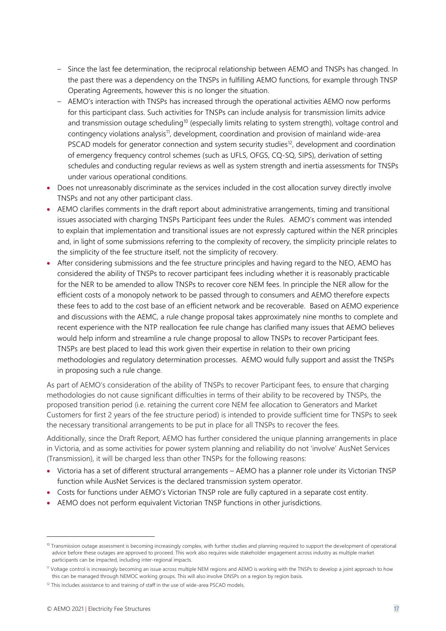- Since the last fee determination, the reciprocal relationship between AEMO and TNSPs has changed. In the past there was a dependency on the TNSPs in fulfilling AEMO functions, for example through TNSP Operating Agreements, however this is no longer the situation.
- AEMO's interaction with TNSPs has increased through the operational activities AEMO now performs for this participant class. Such activities for TNSPs can include analysis for transmission limits advice and transmission outage scheduling<sup>10</sup> (especially limits relating to system strength), voltage control and contingency violations analysis<sup>11</sup>, development, coordination and provision of mainland wide-area PSCAD models for generator connection and system security studies<sup>12</sup>, development and coordination of emergency frequency control schemes (such as UFLS, OFGS, CQ-SQ, SIPS), derivation of setting schedules and conducting regular reviews as well as system strength and inertia assessments for TNSPs under various operational conditions.
- Does not unreasonably discriminate as the services included in the cost allocation survey directly involve TNSPs and not any other participant class.
- AEMO clarifies comments in the draft report about administrative arrangements, timing and transitional issues associated with charging TNSPs Participant fees under the Rules. AEMO's comment was intended to explain that implementation and transitional issues are not expressly captured within the NER principles and, in light of some submissions referring to the complexity of recovery, the simplicity principle relates to the simplicity of the fee structure itself, not the simplicity of recovery.
- After considering submissions and the fee structure principles and having regard to the NEO, AEMO has considered the ability of TNSPs to recover participant fees including whether it is reasonably practicable for the NER to be amended to allow TNSPs to recover core NEM fees. In principle the NER allow for the efficient costs of a monopoly network to be passed through to consumers and AEMO therefore expects these fees to add to the cost base of an efficient network and be recoverable. Based on AEMO experience and discussions with the AEMC, a rule change proposal takes approximately nine months to complete and recent experience with the NTP reallocation fee rule change has clarified many issues that AEMO believes would help inform and streamline a rule change proposal to allow TNSPs to recover Participant fees. TNSPs are best placed to lead this work given their expertise in relation to their own pricing methodologies and regulatory determination processes. AEMO would fully support and assist the TNSPs in proposing such a rule change.

As part of AEMO's consideration of the ability of TNSPs to recover Participant fees, to ensure that charging methodologies do not cause significant difficulties in terms of their ability to be recovered by TNSPs, the proposed transition period (i.e. retaining the current core NEM fee allocation to Generators and Market Customers for first 2 years of the fee structure period) is intended to provide sufficient time for TNSPs to seek the necessary transitional arrangements to be put in place for all TNSPs to recover the fees.

Additionally, since the Draft Report, AEMO has further considered the unique planning arrangements in place in Victoria, and as some activities for power system planning and reliability do not 'involve' AusNet Services (Transmission), it will be charged less than other TNSPs for the following reasons:

- Victoria has a set of different structural arrangements AEMO has a planner role under its Victorian TNSP function while AusNet Services is the declared transmission system operator.
- Costs for functions under AEMO's Victorian TNSP role are fully captured in a separate cost entity.
- AEMO does not perform equivalent Victorian TNSP functions in other jurisdictions.

<sup>&</sup>lt;sup>10</sup> Transmission outage assessment is becoming increasingly complex, with further studies and planning required to support the development of operational advice before these outages are approved to proceed. This work also requires wide stakeholder engagement across industry as multiple market participants can be impacted, including inter-regional impacts.

<sup>11</sup> Voltage control is increasingly becoming an issue across multiple NEM regions and AEMO is working with the TNSPs to develop a joint approach to how this can be managed through NEMOC working groups. This will also involve DNSPs on a region by region basis.

 $12$  This includes assistance to and training of staff in the use of wide-area PSCAD models.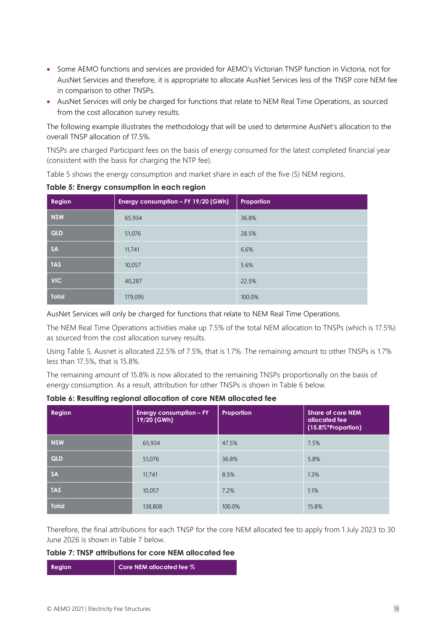- Some AEMO functions and services are provided for AEMO's Victorian TNSP function in Victoria, not for AusNet Services and therefore, it is appropriate to allocate AusNet Services less of the TNSP core NEM fee in comparison to other TNSPs.
- AusNet Services will only be charged for functions that relate to NEM Real Time Operations, as sourced from the cost allocation survey results.

The following example illustrates the methodology that will be used to determine AusNet's allocation to the overall TNSP allocation of 17.5%.

TNSPs are charged Participant fees on the basis of energy consumed for the latest completed financial year (consistent with the basis for charging the NTP fee).

Table 5 shows the energy consumption and market share in each of the five (5) NEM regions.

| Region       | Energy consumption - FY 19/20 (GWh) | Proportion |
|--------------|-------------------------------------|------------|
| <b>NSW</b>   | 65,934                              | 36.8%      |
| QLD          | 51,076                              | 28.5%      |
| <b>SA</b>    | 11,741                              | 6.6%       |
| <b>TAS</b>   | 10,057                              | 5.6%       |
| <b>VIC</b>   | 40,287                              | 22.5%      |
| <b>Total</b> | 179,095                             | 100.0%     |

**Table 5: Energy consumption in each region**

AusNet Services will only be charged for functions that relate to NEM Real Time Operations.

The NEM Real Time Operations activities make up 7.5% of the total NEM allocation to TNSPs (which is 17.5%) as sourced from the cost allocation survey results.

Using Table 5, Ausnet is allocated 22.5% of 7.5%, that is 1.7%. The remaining amount to other TNSPs is 1.7% less than 17.5%, that is 15.8%.

The remaining amount of 15.8% is now allocated to the remaining TNSPs proportionally on the basis of energy consumption. As a result, attribution for other TNSPs is shown in Table 6 below.

| Region       | Energy consumption - FY<br>19/20 (GWh) | Proportion | <b>Share of core NEM</b><br>allocated fee<br>(15.8%*Proportion) |
|--------------|----------------------------------------|------------|-----------------------------------------------------------------|
| <b>NSW</b>   | 65,934                                 | 47.5%      | 7.5%                                                            |
| QLD          | 51,076                                 | 36.8%      | 5.8%                                                            |
| <b>SA</b>    | 11,741                                 | 8.5%       | 1.3%                                                            |
| <b>TAS</b>   | 10,057                                 | 7.2%       | 1.1%                                                            |
| <b>Total</b> | 138,808                                | 100.0%     | 15.8%                                                           |

**Table 6: Resulting regional allocation of core NEM allocated fee**

Therefore, the final attributions for each TNSP for the core NEM allocated fee to apply from 1 July 2023 to 30 June 2026 is shown in Table 7 below.

#### **Table 7: TNSP attributions for core NEM allocated fee**

| <b>Region</b> | Core NEM allocated fee % |
|---------------|--------------------------|
|               |                          |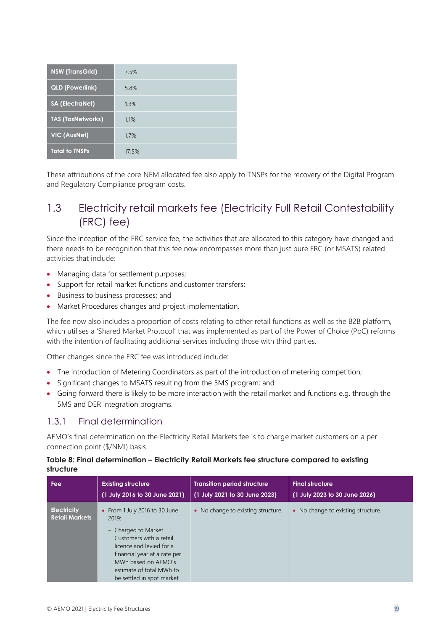| <b>NSW (TransGrid)</b>   | 7.5%  |
|--------------------------|-------|
| <b>QLD (Powerlink)</b>   | 5.8%  |
| <b>SA (ElectraNet)</b>   | 1.3%  |
| <b>TAS (TasNetworks)</b> | 1.1%  |
| <b>VIC (AusNet)</b>      | 1.7%  |
| <b>Total to TNSPs</b>    | 17.5% |

These attributions of the core NEM allocated fee also apply to TNSPs for the recovery of the Digital Program and Regulatory Compliance program costs.

### <span id="page-18-0"></span>1.3 Electricity retail markets fee (Electricity Full Retail Contestability (FRC) fee)

Since the inception of the FRC service fee, the activities that are allocated to this category have changed and there needs to be recognition that this fee now encompasses more than just pure FRC (or MSATS) related activities that include:

- Managing data for settlement purposes;
- Support for retail market functions and customer transfers;
- Business to business processes; and
- Market Procedures changes and project implementation.

The fee now also includes a proportion of costs relating to other retail functions as well as the B2B platform, which utilises a 'Shared Market Protocol' that was implemented as part of the Power of Choice (PoC) reforms with the intention of facilitating additional services including those with third parties.

Other changes since the FRC fee was introduced include:

- The introduction of Metering Coordinators as part of the introduction of metering competition;
- Significant changes to MSATS resulting from the 5MS program; and
- Going forward there is likely to be more interaction with the retail market and functions e.g. through the 5MS and DER integration programs.

#### 1.3.1 Final determination

AEMO's final determination on the Electricity Retail Markets fee is to charge market customers on a per connection point (\$/NMI) basis.

#### **Table 8: Final determination – Electricity Retail Markets fee structure compared to existing structure**

| Fee                                         | <b>Existing structure</b>                                                                                                                                                                                                            | <b>Transition period structure</b> | <b>Final structure</b>             |
|---------------------------------------------|--------------------------------------------------------------------------------------------------------------------------------------------------------------------------------------------------------------------------------------|------------------------------------|------------------------------------|
|                                             | (1 July 2016 to 30 June 2021)                                                                                                                                                                                                        | (1 July 2021 to 30 June 2023)      | (1 July 2023 to 30 June 2026)      |
| <b>Electricity</b><br><b>Retail Markets</b> | • From 1 July 2016 to 30 June<br>2019:<br>- Charged to Market<br>Customers with a retail<br>licence and levied for a<br>financial year at a rate per<br>MWh based on AEMO's<br>estimate of total MWh to<br>be settled in spot market | • No change to existing structure. | • No change to existing structure. |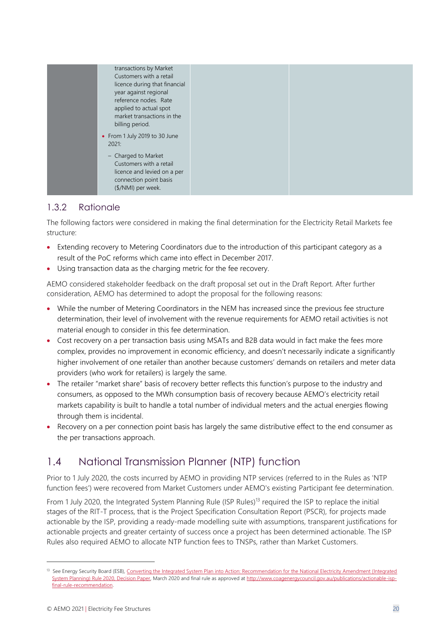

#### 1.3.2 Rationale

The following factors were considered in making the final determination for the Electricity Retail Markets fee structure:

- Extending recovery to Metering Coordinators due to the introduction of this participant category as a result of the PoC reforms which came into effect in December 2017.
- Using transaction data as the charging metric for the fee recovery.

AEMO considered stakeholder feedback on the draft proposal set out in the Draft Report. After further consideration, AEMO has determined to adopt the proposal for the following reasons:

- While the number of Metering Coordinators in the NEM has increased since the previous fee structure determination, their level of involvement with the revenue requirements for AEMO retail activities is not material enough to consider in this fee determination.
- Cost recovery on a per transaction basis using MSATs and B2B data would in fact make the fees more complex, provides no improvement in economic efficiency, and doesn't necessarily indicate a significantly higher involvement of one retailer than another because customers' demands on retailers and meter data providers (who work for retailers) is largely the same.
- The retailer "market share" basis of recovery better reflects this function's purpose to the industry and consumers, as opposed to the MWh consumption basis of recovery because AEMO's electricity retail markets capability is built to handle a total number of individual meters and the actual energies flowing through them is incidental.
- Recovery on a per connection point basis has largely the same distributive effect to the end consumer as the per transactions approach.

# <span id="page-19-0"></span>1.4 National Transmission Planner (NTP) function

Prior to 1 July 2020, the costs incurred by AEMO in providing NTP services (referred to in the Rules as 'NTP function fees') were recovered from Market Customers under AEMO's existing Participant fee determination.

From 1 July 2020, the Integrated System Planning Rule (ISP Rules)<sup>13</sup> required the ISP to replace the initial stages of the RIT-T process, that is the Project Specification Consultation Report (PSCR), for projects made actionable by the ISP, providing a ready-made modelling suite with assumptions, transparent justifications for actionable projects and greater certainty of success once a project has been determined actionable. The ISP Rules also required AEMO to allocate NTP function fees to TNSPs, rather than Market Customers.

<sup>&</sup>lt;sup>13</sup> See Energy Security Board (ESB), Converting the Integrated System Plan into Action: Recommendation for the National Electricity Amendment (Integrated [System Planning\) Rule 2020, Decision Paper,](http://www.coagenergycouncil.gov.au/sites/prod.energycouncil/files/publications/documents/ESB%20Decision%20Paper%20%E2%80%93%20Actionable%20ISP%20Rule%20Changes.pdf) March 2020 and final rule as approved a[t http://www.coagenergycouncil.gov.au/publications/actionable-isp](http://www.coagenergycouncil.gov.au/publications/actionable-isp-final-rule-recommendation)[final-rule-recommendation.](http://www.coagenergycouncil.gov.au/publications/actionable-isp-final-rule-recommendation)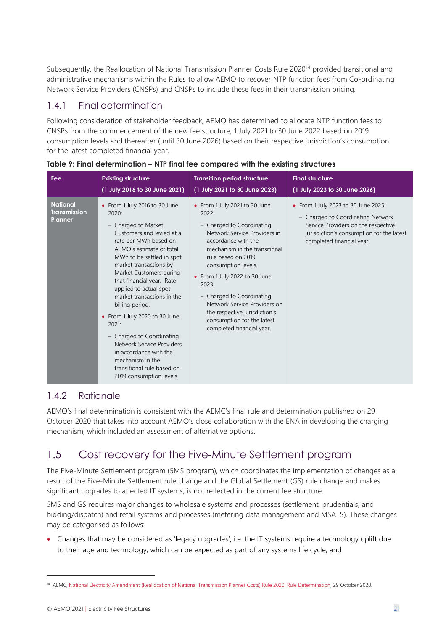Subsequently, the Reallocation of National Transmission Planner Costs Rule 2020<sup>14</sup> provided transitional and administrative mechanisms within the Rules to allow AEMO to recover NTP function fees from Co-ordinating Network Service Providers (CNSPs) and CNSPs to include these fees in their transmission pricing.

#### 1.4.1 Final determination

Following consideration of stakeholder feedback, AEMO has determined to allocate NTP function fees to CNSPs from the commencement of the new fee structure, 1 July 2021 to 30 June 2022 based on 2019 consumption levels and thereafter (until 30 June 2026) based on their respective jurisdiction's consumption for the latest completed financial year.

| Fee                                                      | <b>Existing structure</b>                                                                                                                                                                                                                                                                                                                                                                                                                                                                                                                             | <b>Transition period structure</b>                                                                                                                                                                                                                                                                                                                                                                          | <b>Final structure</b>                                                                                                                                                                    |
|----------------------------------------------------------|-------------------------------------------------------------------------------------------------------------------------------------------------------------------------------------------------------------------------------------------------------------------------------------------------------------------------------------------------------------------------------------------------------------------------------------------------------------------------------------------------------------------------------------------------------|-------------------------------------------------------------------------------------------------------------------------------------------------------------------------------------------------------------------------------------------------------------------------------------------------------------------------------------------------------------------------------------------------------------|-------------------------------------------------------------------------------------------------------------------------------------------------------------------------------------------|
|                                                          | (1 July 2016 to 30 June 2021)                                                                                                                                                                                                                                                                                                                                                                                                                                                                                                                         | (1 July 2021 to 30 June 2023)                                                                                                                                                                                                                                                                                                                                                                               | (1 July 2023 to 30 June 2026)                                                                                                                                                             |
| <b>National</b><br><b>Transmission</b><br><b>Planner</b> | • From 1 July 2016 to 30 June<br>2020:<br>- Charged to Market<br>Customers and levied at a<br>rate per MWh based on<br>AEMO's estimate of total<br>MWh to be settled in spot<br>market transactions by<br>Market Customers during<br>that financial year. Rate<br>applied to actual spot<br>market transactions in the<br>billing period.<br>• From 1 July 2020 to 30 June<br>2021:<br>- Charged to Coordinating<br>Network Service Providers<br>in accordance with the<br>mechanism in the<br>transitional rule based on<br>2019 consumption levels. | • From 1 July 2021 to 30 June<br>2022:<br>- Charged to Coordinating<br>Network Service Providers in<br>accordance with the<br>mechanism in the transitional<br>rule based on 2019<br>consumption levels.<br>• From 1 July 2022 to 30 June<br>2023:<br>- Charged to Coordinating<br>Network Service Providers on<br>the respective jurisdiction's<br>consumption for the latest<br>completed financial year. | • From 1 July 2023 to 30 June 2025:<br>- Charged to Coordinating Network<br>Service Providers on the respective<br>jurisdiction's consumption for the latest<br>completed financial year. |

**Table 9: Final determination – NTP final fee compared with the existing structures**

#### 1.4.2 Rationale

AEMO's final determination is consistent with the AEMC's final rule and determination published on 29 October 2020 that takes into account AEMO's close collaboration with the ENA in developing the charging mechanism, which included an assessment of alternative options.

# <span id="page-20-0"></span>1.5 Cost recovery for the Five-Minute Settlement program

The Five-Minute Settlement program (5MS program), which coordinates the implementation of changes as a result of the Five-Minute Settlement rule change and the Global Settlement (GS) rule change and makes significant upgrades to affected IT systems, is not reflected in the current fee structure.

5MS and GS requires major changes to wholesale systems and processes (settlement, prudentials, and bidding/dispatch) and retail systems and processes (metering data management and MSATS). These changes may be categorised as follows:

• Changes that may be considered as 'legacy upgrades', i.e. the IT systems require a technology uplift due to their age and technology, which can be expected as part of any systems life cycle; and

<sup>&</sup>lt;sup>14</sup> AEMC[, National Electricity Amendment \(Reallocation of National Transmission Planner Costs\) Rule 2020: Rule Determination,](https://www.aemc.gov.au/sites/default/files/documents/final_determination_-_expedited_2.pdf) 29 October 2020.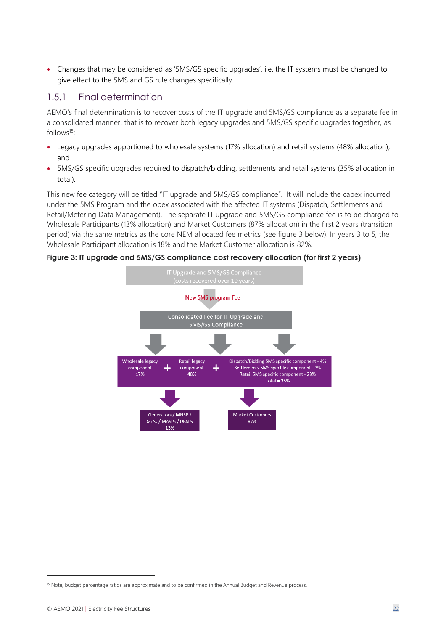• Changes that may be considered as '5MS/GS specific upgrades', i.e. the IT systems must be changed to give effect to the 5MS and GS rule changes specifically.

#### 1.5.1 Final determination

AEMO's final determination is to recover costs of the IT upgrade and 5MS/GS compliance as a separate fee in a consolidated manner, that is to recover both legacy upgrades and 5MS/GS specific upgrades together, as follows $15$ :

- Legacy upgrades apportioned to wholesale systems (17% allocation) and retail systems (48% allocation); and
- 5MS/GS specific upgrades required to dispatch/bidding, settlements and retail systems (35% allocation in total).

This new fee category will be titled "IT upgrade and 5MS/GS compliance". It will include the capex incurred under the 5MS Program and the opex associated with the affected IT systems (Dispatch, Settlements and Retail/Metering Data Management). The separate IT upgrade and 5MS/GS compliance fee is to be charged to Wholesale Participants (13% allocation) and Market Customers (87% allocation) in the first 2 years (transition period) via the same metrics as the core NEM allocated fee metrics (see figure 3 below). In years 3 to 5, the Wholesale Participant allocation is 18% and the Market Customer allocation is 82%.

**Figure 3: IT upgrade and 5MS/GS compliance cost recovery allocation (for first 2 years)**



<sup>&</sup>lt;sup>15</sup> Note, budget percentage ratios are approximate and to be confirmed in the Annual Budget and Revenue process.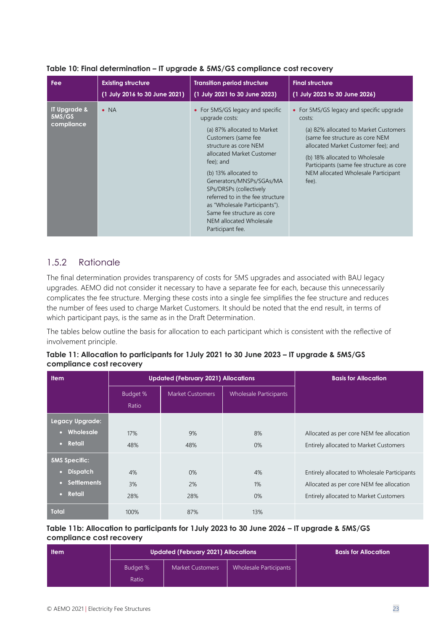| Fee                                  | <b>Existing structure</b>     | <b>Transition period structure</b>                                                                                                                                                                                                                                                                                                                                                                           | <b>Final structure</b>                                                                                                                                                                                                                                                                              |
|--------------------------------------|-------------------------------|--------------------------------------------------------------------------------------------------------------------------------------------------------------------------------------------------------------------------------------------------------------------------------------------------------------------------------------------------------------------------------------------------------------|-----------------------------------------------------------------------------------------------------------------------------------------------------------------------------------------------------------------------------------------------------------------------------------------------------|
|                                      | (1 July 2016 to 30 June 2021) | (1 July 2021 to 30 June 2023)                                                                                                                                                                                                                                                                                                                                                                                | (1 July 2023 to 30 June 2026)                                                                                                                                                                                                                                                                       |
| IT Upgrade &<br>5MS/GS<br>compliance | $\bullet$ NA                  | • For 5MS/GS legacy and specific<br>upgrade costs:<br>(a) 87% allocated to Market<br>Customers (same fee<br>structure as core NEM<br>allocated Market Customer<br>fee); and<br>(b) 13% allocated to<br>Generators/MNSPs/SGAs/MA<br>SPs/DRSPs (collectively<br>referred to in the fee structure<br>as "Wholesale Participants").<br>Same fee structure as core<br>NEM allocated Wholesale<br>Participant fee. | • For 5MS/GS legacy and specific upgrade<br>costs:<br>(a) 82% allocated to Market Customers<br>(same fee structure as core NEM<br>allocated Market Customer fee); and<br>(b) 18% allocated to Wholesale<br>Participants (same fee structure as core<br>NEM allocated Wholesale Participant<br>fee). |

#### **Table 10: Final determination – IT upgrade & 5MS/GS compliance cost recovery**

#### 1.5.2 Rationale

The final determination provides transparency of costs for 5MS upgrades and associated with BAU legacy upgrades. AEMO did not consider it necessary to have a separate fee for each, because this unnecessarily complicates the fee structure. Merging these costs into a single fee simplifies the fee structure and reduces the number of fees used to charge Market Customers. It should be noted that the end result, in terms of which participant pays, is the same as in the Draft Determination.

The tables below outline the basis for allocation to each participant which is consistent with the reflective of involvement principle.

| Table 11: Allocation to participants for 1July 2021 to 30 June 2023 – IT upgrade & 5MS/GS |  |  |
|-------------------------------------------------------------------------------------------|--|--|
| compliance cost recovery                                                                  |  |  |

| <b>Item</b>             |                   | <b>Updated (February 2021) Allocations</b> | <b>Basis for Allocation</b> |                                              |
|-------------------------|-------------------|--------------------------------------------|-----------------------------|----------------------------------------------|
|                         | Budget %<br>Ratio | Market Customers                           | Wholesale Participants      |                                              |
| Legacy Upgrade:         |                   |                                            |                             |                                              |
| Wholesale<br>o          | 17%               | 9%                                         | 8%                          | Allocated as per core NEM fee allocation     |
| Retail<br>$\bullet$     | 48%               | 48%                                        | 0%                          | Entirely allocated to Market Customers       |
| <b>5MS Specific:</b>    |                   |                                            |                             |                                              |
| <b>Dispatch</b><br>o    | 4%                | 0%                                         | 4%                          | Entirely allocated to Wholesale Participants |
| <b>Settlements</b><br>n | 3%                | 2%                                         | $1\%$                       | Allocated as per core NEM fee allocation     |
| • Retail                | 28%               | 28%                                        | 0%                          | Entirely allocated to Market Customers       |
| <b>Total</b>            | 100%              | 87%                                        | 13%                         |                                              |

#### **Table 11b: Allocation to participants for 1July 2023 to 30 June 2026 – IT upgrade & 5MS/GS compliance cost recovery**

| <b>Item</b> |                   | <b>Updated (February 2021) Allocations</b> | <b>Basis for Allocation</b> |  |
|-------------|-------------------|--------------------------------------------|-----------------------------|--|
|             | Budget %<br>Ratio | <b>Market Customers</b>                    | Wholesale Participants      |  |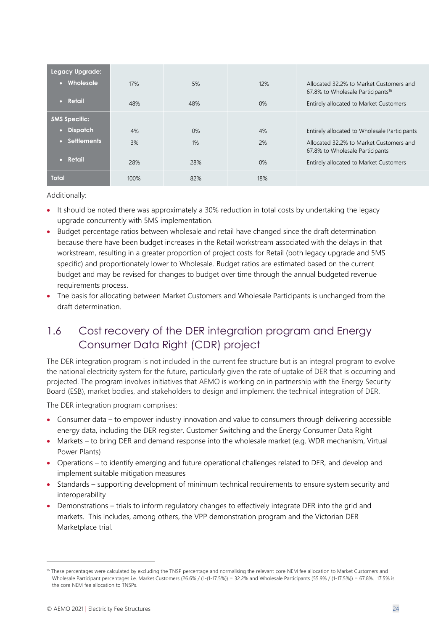| Legacy Upgrade:      |      |     |       |                                                                                          |
|----------------------|------|-----|-------|------------------------------------------------------------------------------------------|
| • Wholesale          | 17%  | 5%  | 12%   | Allocated 32.2% to Market Customers and<br>67.8% to Wholesale Participants <sup>16</sup> |
| $\bullet$ Retail     | 48%  | 48% | $0\%$ | Entirely allocated to Market Customers                                                   |
| <b>5MS Specific:</b> |      |     |       |                                                                                          |
| • Dispatch           | 4%   | 0%  | 4%    | Entirely allocated to Wholesale Participants                                             |
| • Settlements        | 3%   | 1%  | 2%    | Allocated 32.2% to Market Customers and<br>67.8% to Wholesale Participants               |
| $\bullet$ Retail     | 28%  | 28% | 0%    | Entirely allocated to Market Customers                                                   |
| <b>Total</b>         | 100% | 82% | 18%   |                                                                                          |

Additionally:

- It should be noted there was approximately a 30% reduction in total costs by undertaking the legacy upgrade concurrently with 5MS implementation.
- Budget percentage ratios between wholesale and retail have changed since the draft determination because there have been budget increases in the Retail workstream associated with the delays in that workstream, resulting in a greater proportion of project costs for Retail (both legacy upgrade and 5MS specific) and proportionately lower to Wholesale. Budget ratios are estimated based on the current budget and may be revised for changes to budget over time through the annual budgeted revenue requirements process.
- The basis for allocating between Market Customers and Wholesale Participants is unchanged from the draft determination.

# <span id="page-23-0"></span>1.6 Cost recovery of the DER integration program and Energy Consumer Data Right (CDR) project

The DER integration program is not included in the current fee structure but is an integral program to evolve the national electricity system for the future, particularly given the rate of uptake of DER that is occurring and projected. The program involves initiatives that AEMO is working on in partnership with the Energy Security Board (ESB), market bodies, and stakeholders to design and implement the technical integration of DER.

The DER integration program comprises:

- Consumer data to empower industry innovation and value to consumers through delivering accessible energy data, including the DER register, Customer Switching and the Energy Consumer Data Right
- Markets to bring DER and demand response into the wholesale market (e.g. WDR mechanism, Virtual Power Plants)
- Operations to identify emerging and future operational challenges related to DER, and develop and implement suitable mitigation measures
- Standards supporting development of minimum technical requirements to ensure system security and interoperability
- Demonstrations trials to inform regulatory changes to effectively integrate DER into the grid and markets. This includes, among others, the VPP demonstration program and the Victorian DER Marketplace trial.

<sup>&</sup>lt;sup>16</sup> These percentages were calculated by excluding the TNSP percentage and normalising the relevant core NEM fee allocation to Market Customers and Wholesale Participant percentages i.e. Market Customers (26.6% / (1-(1-17.5%)) = 32.2% and Wholesale Participants (55.9% / (1-17.5%)) = 67.8%. 17.5% is the core NEM fee allocation to TNSPs.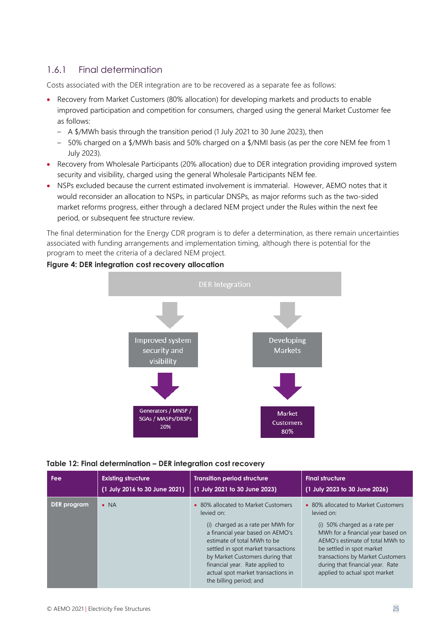#### 1.6.1 Final determination

Costs associated with the DER integration are to be recovered as a separate fee as follows:

- Recovery from Market Customers (80% allocation) for developing markets and products to enable improved participation and competition for consumers, charged using the general Market Customer fee as follows:
	- A \$/MWh basis through the transition period (1 July 2021 to 30 June 2023), then
	- 50% charged on a \$/MWh basis and 50% charged on a \$/NMI basis (as per the core NEM fee from 1 July 2023).
- Recovery from Wholesale Participants (20% allocation) due to DER integration providing improved system security and visibility, charged using the general Wholesale Participants NEM fee.
- NSPs excluded because the current estimated involvement is immaterial. However, AEMO notes that it would reconsider an allocation to NSPs, in particular DNSPs, as major reforms such as the two-sided market reforms progress, either through a declared NEM project under the Rules within the next fee period, or subsequent fee structure review.

The final determination for the Energy CDR program is to defer a determination, as there remain uncertainties associated with funding arrangements and implementation timing, although there is potential for the program to meet the criteria of a declared NEM project.



#### **Figure 4: DER integration cost recovery allocation**



| Fee         | <b>Existing structure</b>     | <b>Transition period structure</b>                                                                                                                                                                                                                                                                                                      | <b>Final structure</b>                                                                                                                                                                                                                                                                           |
|-------------|-------------------------------|-----------------------------------------------------------------------------------------------------------------------------------------------------------------------------------------------------------------------------------------------------------------------------------------------------------------------------------------|--------------------------------------------------------------------------------------------------------------------------------------------------------------------------------------------------------------------------------------------------------------------------------------------------|
|             | (1 July 2016 to 30 June 2021) | (1 July 2021 to 30 June 2023)                                                                                                                                                                                                                                                                                                           | (1 July 2023 to 30 June 2026)                                                                                                                                                                                                                                                                    |
| DER program | $\bullet$ NA                  | • 80% allocated to Market Customers<br>levied on:<br>(i) charged as a rate per MWh for<br>a financial year based on AEMO's<br>estimate of total MWh to be<br>settled in spot market transactions<br>by Market Customers during that<br>financial year. Rate applied to<br>actual spot market transactions in<br>the billing period; and | • 80% allocated to Market Customers<br>levied on:<br>(i) 50% charged as a rate per<br>MWh for a financial year based on<br>AEMO's estimate of total MWh to<br>be settled in spot market<br>transactions by Market Customers<br>during that financial year. Rate<br>applied to actual spot market |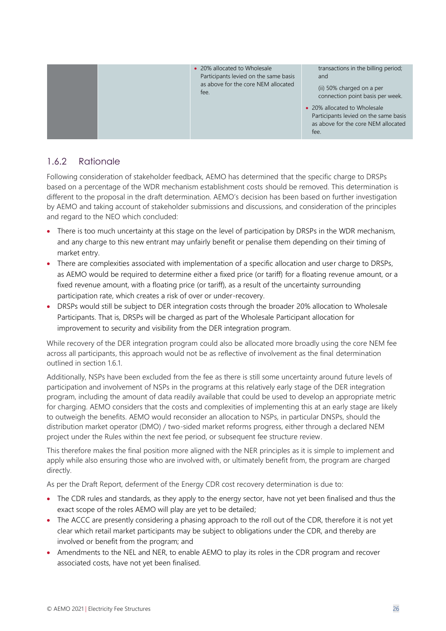• 20% allocated to Wholesale Participants levied on the same basis as above for the core NEM allocated fee. transactions in the billing period; and (ii) 50% charged on a per connection point basis per week. • 20% allocated to Wholesale Participants levied on the same basis as above for the core NEM allocated  $f_{\alpha\alpha}$ 

#### 1.6.2 Rationale

Following consideration of stakeholder feedback, AEMO has determined that the specific charge to DRSPs based on a percentage of the WDR mechanism establishment costs should be removed. This determination is different to the proposal in the draft determination. AEMO's decision has been based on further investigation by AEMO and taking account of stakeholder submissions and discussions, and consideration of the principles and regard to the NEO which concluded:

- There is too much uncertainty at this stage on the level of participation by DRSPs in the WDR mechanism, and any charge to this new entrant may unfairly benefit or penalise them depending on their timing of market entry.
- There are complexities associated with implementation of a specific allocation and user charge to DRSPs, as AEMO would be required to determine either a fixed price (or tariff) for a floating revenue amount, or a fixed revenue amount, with a floating price (or tariff), as a result of the uncertainty surrounding participation rate, which creates a risk of over or under-recovery.
- DRSPs would still be subject to DER integration costs through the broader 20% allocation to Wholesale Participants. That is, DRSPs will be charged as part of the Wholesale Participant allocation for improvement to security and visibility from the DER integration program.

While recovery of the DER integration program could also be allocated more broadly using the core NEM fee across all participants, this approach would not be as reflective of involvement as the final determination outlined in section 1.6.1.

Additionally, NSPs have been excluded from the fee as there is still some uncertainty around future levels of participation and involvement of NSPs in the programs at this relatively early stage of the DER integration program, including the amount of data readily available that could be used to develop an appropriate metric for charging. AEMO considers that the costs and complexities of implementing this at an early stage are likely to outweigh the benefits. AEMO would reconsider an allocation to NSPs, in particular DNSPs, should the distribution market operator (DMO) / two-sided market reforms progress, either through a declared NEM project under the Rules within the next fee period, or subsequent fee structure review.

This therefore makes the final position more aligned with the NER principles as it is simple to implement and apply while also ensuring those who are involved with, or ultimately benefit from, the program are charged directly.

As per the Draft Report, deferment of the Energy CDR cost recovery determination is due to:

- The CDR rules and standards, as they apply to the energy sector, have not yet been finalised and thus the exact scope of the roles AEMO will play are yet to be detailed;
- The ACCC are presently considering a phasing approach to the roll out of the CDR, therefore it is not yet clear which retail market participants may be subject to obligations under the CDR, and thereby are involved or benefit from the program; and
- Amendments to the NEL and NER, to enable AEMO to play its roles in the CDR program and recover associated costs, have not yet been finalised.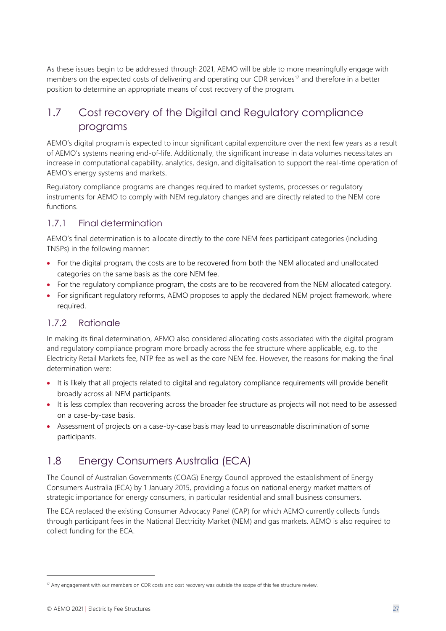As these issues begin to be addressed through 2021, AEMO will be able to more meaningfully engage with members on the expected costs of delivering and operating our CDR services<sup>17</sup> and therefore in a better position to determine an appropriate means of cost recovery of the program.

## <span id="page-26-0"></span>1.7 Cost recovery of the Digital and Regulatory compliance programs

AEMO's digital program is expected to incur significant capital expenditure over the next few years as a result of AEMO's systems nearing end-of-life. Additionally, the significant increase in data volumes necessitates an increase in computational capability, analytics, design, and digitalisation to support the real-time operation of AEMO's energy systems and markets.

Regulatory compliance programs are changes required to market systems, processes or regulatory instruments for AEMO to comply with NEM regulatory changes and are directly related to the NEM core functions.

#### 1.7.1 Final determination

AEMO's final determination is to allocate directly to the core NEM fees participant categories (including TNSPs) in the following manner:

- For the digital program, the costs are to be recovered from both the NEM allocated and unallocated categories on the same basis as the core NEM fee.
- For the regulatory compliance program, the costs are to be recovered from the NEM allocated category.
- For significant regulatory reforms, AEMO proposes to apply the declared NEM project framework, where required.

#### 1.7.2 Rationale

In making its final determination, AEMO also considered allocating costs associated with the digital program and regulatory compliance program more broadly across the fee structure where applicable, e.g. to the Electricity Retail Markets fee, NTP fee as well as the core NEM fee. However, the reasons for making the final determination were:

- It is likely that all projects related to digital and regulatory compliance requirements will provide benefit broadly across all NEM participants.
- It is less complex than recovering across the broader fee structure as projects will not need to be assessed on a case-by-case basis.
- Assessment of projects on a case-by-case basis may lead to unreasonable discrimination of some participants.

### <span id="page-26-1"></span>1.8 Energy Consumers Australia (ECA)

The Council of Australian Governments (COAG) Energy Council approved the establishment of Energy Consumers Australia (ECA) by 1 January 2015, providing a focus on national energy market matters of strategic importance for energy consumers, in particular residential and small business consumers.

The ECA replaced the existing Consumer Advocacy Panel (CAP) for which AEMO currently collects funds through participant fees in the National Electricity Market (NEM) and gas markets. AEMO is also required to collect funding for the ECA.

 $17$  Any engagement with our members on CDR costs and cost recovery was outside the scope of this fee structure review.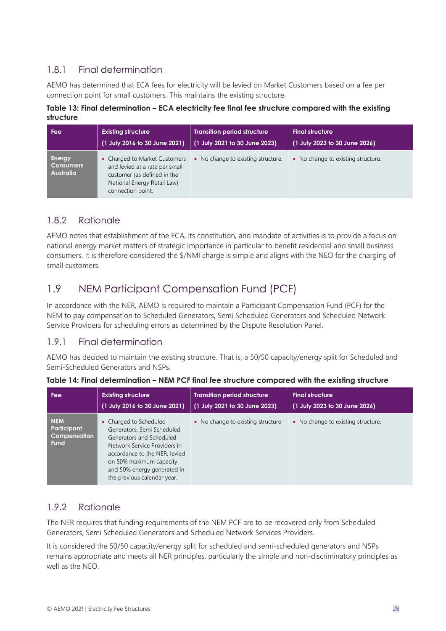#### 1.8.1 Final determination

AEMO has determined that ECA fees for electricity will be levied on Market Customers based on a fee per connection point for small customers. This maintains the existing structure.

**Table 13: Final determination – ECA electricity fee final fee structure compared with the existing structure**

| Fee                                            | <b>Existing structure</b>                                                                                                                          | <b>Transition period structure</b>    | <b>Final structure</b>             |
|------------------------------------------------|----------------------------------------------------------------------------------------------------------------------------------------------------|---------------------------------------|------------------------------------|
|                                                | (1 July 2016 to 30 June 2021)                                                                                                                      | $\vert$ (1 July 2021 to 30 June 2023) | (1 July 2023 to 30 June 2026)      |
| Energy<br><b>Consumers</b><br><b>Australia</b> | • Charged to Market Customers<br>and levied at a rate per small<br>customer (as defined in the<br>National Energy Retail Law)<br>connection point. | • No change to existing structure.    | • No change to existing structure. |

#### 1.8.2 Rationale

AEMO notes that establishment of the ECA, its constitution, and mandate of activities is to provide a focus on national energy market matters of strategic importance in particular to benefit residential and small business consumers. It is therefore considered the \$/NMI charge is simple and aligns with the NEO for the charging of small customers.

# <span id="page-27-0"></span>1.9 NEM Participant Compensation Fund (PCF)

In accordance with the NER, AEMO is required to maintain a Participant Compensation Fund (PCF) for the NEM to pay compensation to Scheduled Generators, Semi Scheduled Generators and Scheduled Network Service Providers for scheduling errors as determined by the Dispute Resolution Panel.

#### 1.9.1 Final determination

AEMO has decided to maintain the existing structure. That is, a 50/50 capacity/energy split for Scheduled and Semi-Scheduled Generators and NSPs.

| Fee                                                      | <b>Existing structure</b>                                                                                                                                                                                                                  | <b>Transition period structure</b> | <b>Final structure</b>             |
|----------------------------------------------------------|--------------------------------------------------------------------------------------------------------------------------------------------------------------------------------------------------------------------------------------------|------------------------------------|------------------------------------|
|                                                          | (1 July 2016 to 30 June 2021)                                                                                                                                                                                                              | (1 July 2021 to 30 June 2023)      | (1 July 2023 to 30 June 2026)      |
| <b>NEM</b><br>Participant<br>Compensation<br><b>Fund</b> | • Charged to Scheduled<br>Generators, Semi Scheduled<br>Generators and Scheduled<br>Network Service Providers in<br>accordance to the NER, levied<br>on 50% maximum capacity<br>and 50% energy generated in<br>the previous calendar year. | • No change to existing structure  | • No change to existing structure. |

|  | Table 14: Final determination – NEM PCF final fee structure compared with the existing structure |  |  |  |  |
|--|--------------------------------------------------------------------------------------------------|--|--|--|--|
|  |                                                                                                  |  |  |  |  |
|  |                                                                                                  |  |  |  |  |

#### 1.9.2 Rationale

The NER requires that funding requirements of the NEM PCF are to be recovered only from Scheduled Generators, Semi Scheduled Generators and Scheduled Network Services Providers.

It is considered the 50/50 capacity/energy split for scheduled and semi-scheduled generators and NSPs remains appropriate and meets all NER principles, particularly the simple and non-discriminatory principles as well as the NEO.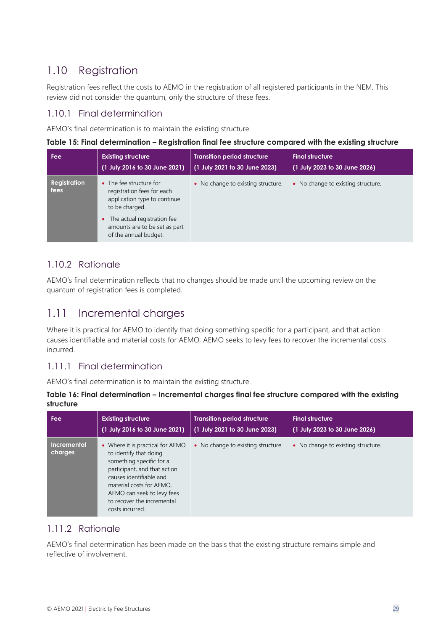# <span id="page-28-0"></span>1.10 Registration

Registration fees reflect the costs to AEMO in the registration of all registered participants in the NEM. This review did not consider the quantum, only the structure of these fees.

#### 1.10.1 Final determination

AEMO's final determination is to maintain the existing structure.

**Table 15: Final determination – Registration final fee structure compared with the existing structure**

| Fee                  | <b>Existing structure</b><br>(1 July 2016 to 30 June 2021)                                            | <b>Transition period structure</b><br>(1 July 2021 to 30 June 2023) | <b>Final structure</b><br>(1 July 2023 to 30 June 2026) |
|----------------------|-------------------------------------------------------------------------------------------------------|---------------------------------------------------------------------|---------------------------------------------------------|
| Registration<br>fees | The fee structure for<br>registration fees for each<br>application type to continue<br>to be charged. | • No change to existing structure.                                  | • No change to existing structure.                      |
|                      | The actual registration fee<br>amounts are to be set as part<br>of the annual budget.                 |                                                                     |                                                         |

#### 1.10.2 Rationale

AEMO's final determination reflects that no changes should be made until the upcoming review on the quantum of registration fees is completed.

### <span id="page-28-1"></span>1.11 Incremental charges

Where it is practical for AEMO to identify that doing something specific for a participant, and that action causes identifiable and material costs for AEMO, AEMO seeks to levy fees to recover the incremental costs incurred.

#### 1.11.1 Final determination

AEMO's final determination is to maintain the existing structure.

| Table 16: Final determination – Incremental charges final fee structure compared with the existing |  |
|----------------------------------------------------------------------------------------------------|--|
| structure                                                                                          |  |

| Fee                    | <b>Existing structure</b>                                                                                                                                                                                                                                    | <b>Transition period structure</b> | <b>Final structure</b>             |
|------------------------|--------------------------------------------------------------------------------------------------------------------------------------------------------------------------------------------------------------------------------------------------------------|------------------------------------|------------------------------------|
|                        | (1 July 2016 to 30 June 2021)                                                                                                                                                                                                                                | (1 July 2021 to 30 June 2023)      | (1 July 2023 to 30 June 2026)      |
| Incremental<br>charges | • Where it is practical for AEMO<br>to identify that doing<br>something specific for a<br>participant, and that action<br>causes identifiable and<br>material costs for AEMO,<br>AEMO can seek to levy fees<br>to recover the incremental<br>costs incurred. | • No change to existing structure. | • No change to existing structure. |

#### 1.11.2 Rationale

AEMO's final determination has been made on the basis that the existing structure remains simple and reflective of involvement.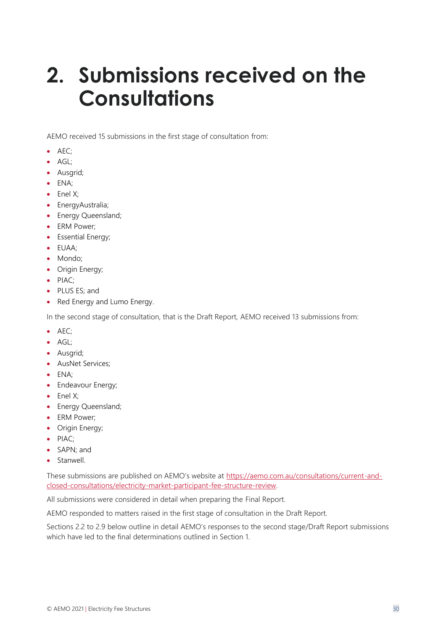# <span id="page-29-0"></span>**2. Submissions received on the Consultations**

AEMO received 15 submissions in the first stage of consultation from:

- AEC;
- AGL:
- Ausgrid;
- ENA;
- Enel X;
- EnergyAustralia;
- Energy Queensland;
- ERM Power:
- Essential Energy;
- EUAA;
- Mondo;
- Origin Energy;
- PIAC;
- PLUS ES; and
- Red Energy and Lumo Energy.

In the second stage of consultation, that is the Draft Report, AEMO received 13 submissions from:

- AEC;
- AGL;
- Ausgrid;
- AusNet Services;
- ENA;
- Endeavour Energy;
- Enel X;
- Energy Queensland;
- ERM Power;
- Origin Energy;
- PIAC;
- SAPN; and
- Stanwell.

These submissions are published on AEMO's website at [https://aemo.com.au/consultations/current-and](https://aemo.com.au/consultations/current-and-closed-consultations/electricity-market-participant-fee-structure-review)[closed-consultations/electricity-market-participant-fee-structure-review.](https://aemo.com.au/consultations/current-and-closed-consultations/electricity-market-participant-fee-structure-review) 

All submissions were considered in detail when preparing the Final Report.

AEMO responded to matters raised in the first stage of consultation in the Draft Report.

Sections 2.2 to 2.9 below outline in detail AEMO's responses to the second stage/Draft Report submissions which have led to the final determinations outlined in Section 1.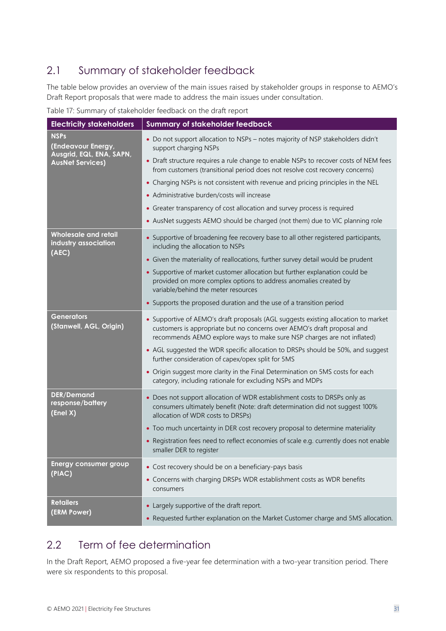# <span id="page-30-0"></span>2.1 Summary of stakeholder feedback

The table below provides an overview of the main issues raised by stakeholder groups in response to AEMO's Draft Report proposals that were made to address the main issues under consultation.

Table 17: Summary of stakeholder feedback on the draft report

| <b>Electricity stakeholders</b>                               | <b>Summary of stakeholder feedback</b>                                                                                                                                                                                                   |
|---------------------------------------------------------------|------------------------------------------------------------------------------------------------------------------------------------------------------------------------------------------------------------------------------------------|
| <b>NSPs</b><br>(Endeavour Energy,<br>Ausgrid, EQL, ENA, SAPN, | • Do not support allocation to NSPs - notes majority of NSP stakeholders didn't<br>support charging NSPs                                                                                                                                 |
| <b>AusNet Services)</b>                                       | • Draft structure requires a rule change to enable NSPs to recover costs of NEM fees<br>from customers (transitional period does not resolve cost recovery concerns)                                                                     |
|                                                               | • Charging NSPs is not consistent with revenue and pricing principles in the NEL                                                                                                                                                         |
|                                                               | • Administrative burden/costs will increase                                                                                                                                                                                              |
|                                                               | • Greater transparency of cost allocation and survey process is required                                                                                                                                                                 |
|                                                               | • AusNet suggests AEMO should be charged (not them) due to VIC planning role                                                                                                                                                             |
| <b>Wholesale and retail</b><br>industry association           | • Supportive of broadening fee recovery base to all other registered participants,<br>including the allocation to NSPs                                                                                                                   |
| (AEC)                                                         | • Given the materiality of reallocations, further survey detail would be prudent                                                                                                                                                         |
|                                                               | • Supportive of market customer allocation but further explanation could be<br>provided on more complex options to address anomalies created by<br>variable/behind the meter resources                                                   |
|                                                               | • Supports the proposed duration and the use of a transition period                                                                                                                                                                      |
| <b>Generators</b><br>(Stanwell, AGL, Origin)                  | • Supportive of AEMO's draft proposals (AGL suggests existing allocation to market<br>customers is appropriate but no concerns over AEMO's draft proposal and<br>recommends AEMO explore ways to make sure NSP charges are not inflated) |
|                                                               | • AGL suggested the WDR specific allocation to DRSPs should be 50%, and suggest<br>further consideration of capex/opex split for 5MS                                                                                                     |
|                                                               | • Origin suggest more clarity in the Final Determination on 5MS costs for each<br>category, including rationale for excluding NSPs and MDPs                                                                                              |
| <b>DER/Demand</b><br>response/battery<br>(Enel X)             | • Does not support allocation of WDR establishment costs to DRSPs only as<br>consumers ultimately benefit (Note: draft determination did not suggest 100%<br>allocation of WDR costs to DRSPs)                                           |
|                                                               | • Too much uncertainty in DER cost recovery proposal to determine materiality                                                                                                                                                            |
|                                                               | • Registration fees need to reflect economies of scale e.g. currently does not enable<br>smaller DER to register                                                                                                                         |
| <b>Energy consumer group</b>                                  | • Cost recovery should be on a beneficiary-pays basis                                                                                                                                                                                    |
| (PIAC)                                                        | • Concerns with charging DRSPs WDR establishment costs as WDR benefits<br>consumers                                                                                                                                                      |
| <b>Retailers</b>                                              | • Largely supportive of the draft report.                                                                                                                                                                                                |
| (ERM Power)                                                   | • Requested further explanation on the Market Customer charge and 5MS allocation.                                                                                                                                                        |

# <span id="page-30-1"></span>2.2 Term of fee determination

In the Draft Report, AEMO proposed a five-year fee determination with a two-year transition period. There were six respondents to this proposal.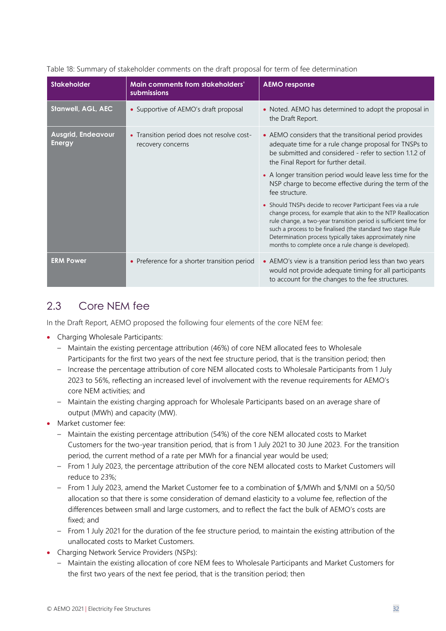| <b>Stakeholder</b>                         | Main comments from stakeholders'<br>submissions                 | <b>AEMO</b> response                                                                                                                                                                                                                                                                                                                                                                 |
|--------------------------------------------|-----------------------------------------------------------------|--------------------------------------------------------------------------------------------------------------------------------------------------------------------------------------------------------------------------------------------------------------------------------------------------------------------------------------------------------------------------------------|
| <b>Stanwell, AGL, AEC</b>                  | • Supportive of AEMO's draft proposal                           | • Noted. AEMO has determined to adopt the proposal in<br>the Draft Report.                                                                                                                                                                                                                                                                                                           |
| <b>Ausgrid, Endeavour</b><br><b>Energy</b> | • Transition period does not resolve cost-<br>recovery concerns | • AEMO considers that the transitional period provides<br>adequate time for a rule change proposal for TNSPs to<br>be submitted and considered - refer to section 1.1.2 of<br>the Final Report for further detail.                                                                                                                                                                   |
|                                            |                                                                 | • A longer transition period would leave less time for the<br>NSP charge to become effective during the term of the<br>fee structure.                                                                                                                                                                                                                                                |
|                                            |                                                                 | • Should TNSPs decide to recover Participant Fees via a rule<br>change process, for example that akin to the NTP Reallocation<br>rule change, a two-year transition period is sufficient time for<br>such a process to be finalised (the standard two stage Rule<br>Determination process typically takes approximately nine<br>months to complete once a rule change is developed). |
| <b>ERM Power</b>                           | • Preference for a shorter transition period                    | • AEMO's view is a transition period less than two years<br>would not provide adequate timing for all participants<br>to account for the changes to the fee structures.                                                                                                                                                                                                              |

#### Table 18: Summary of stakeholder comments on the draft proposal for term of fee determination

### <span id="page-31-0"></span>2.3 Core NEM fee

In the Draft Report, AEMO proposed the following four elements of the core NEM fee:

- Charging Wholesale Participants:
	- Maintain the existing percentage attribution (46%) of core NEM allocated fees to Wholesale Participants for the first two years of the next fee structure period, that is the transition period; then
	- Increase the percentage attribution of core NEM allocated costs to Wholesale Participants from 1 July 2023 to 56%, reflecting an increased level of involvement with the revenue requirements for AEMO's core NEM activities; and
	- Maintain the existing charging approach for Wholesale Participants based on an average share of output (MWh) and capacity (MW).
- Market customer fee:
	- Maintain the existing percentage attribution (54%) of the core NEM allocated costs to Market Customers for the two-year transition period, that is from 1 July 2021 to 30 June 2023. For the transition period, the current method of a rate per MWh for a financial year would be used;
	- From 1 July 2023, the percentage attribution of the core NEM allocated costs to Market Customers will reduce to 23%;
	- From 1 July 2023, amend the Market Customer fee to a combination of \$/MWh and \$/NMI on a 50/50 allocation so that there is some consideration of demand elasticity to a volume fee, reflection of the differences between small and large customers, and to reflect the fact the bulk of AEMO's costs are fixed; and
	- From 1 July 2021 for the duration of the fee structure period, to maintain the existing attribution of the unallocated costs to Market Customers.
- Charging Network Service Providers (NSPs):
	- Maintain the existing allocation of core NEM fees to Wholesale Participants and Market Customers for the first two years of the next fee period, that is the transition period; then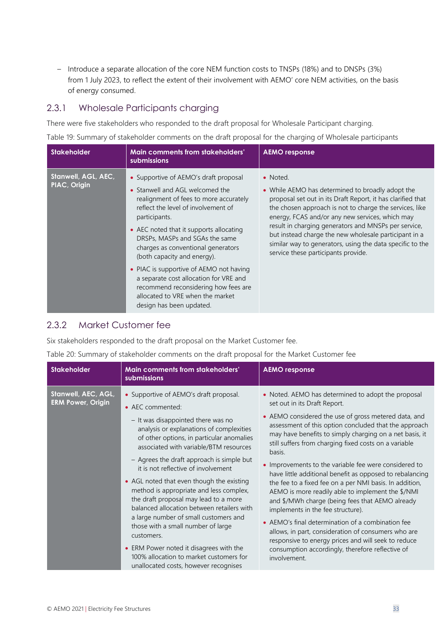– Introduce a separate allocation of the core NEM function costs to TNSPs (18%) and to DNSPs (3%) from 1 July 2023, to reflect the extent of their involvement with AEMO' core NEM activities, on the basis of energy consumed.

#### 2.3.1 Wholesale Participants charging

There were five stakeholders who responded to the draft proposal for Wholesale Participant charging.

Table 19: Summary of stakeholder comments on the draft proposal for the charging of Wholesale participants

| <b>Stakeholder</b>                  | Main comments from stakeholders'<br>submissions                                                                                                                                                                                                                                                                                                                                                                                                                                               | <b>AEMO</b> response                                                                                                                                                                                                                                                                                                                                                                                                                                           |
|-------------------------------------|-----------------------------------------------------------------------------------------------------------------------------------------------------------------------------------------------------------------------------------------------------------------------------------------------------------------------------------------------------------------------------------------------------------------------------------------------------------------------------------------------|----------------------------------------------------------------------------------------------------------------------------------------------------------------------------------------------------------------------------------------------------------------------------------------------------------------------------------------------------------------------------------------------------------------------------------------------------------------|
| Stanwell, AGL, AEC,<br>PIAC, Origin | • Supportive of AEMO's draft proposal<br>• Stanwell and AGL welcomed the<br>realignment of fees to more accurately<br>reflect the level of involvement of<br>participants.<br>• AEC noted that it supports allocating<br>DRSPs, MASPs and SGAs the same<br>charges as conventional generators<br>(both capacity and energy).<br>• PIAC is supportive of AEMO not having<br>a separate cost allocation for VRE and<br>recommend reconsidering how fees are<br>allocated to VRE when the market | • Noted.<br>• While AEMO has determined to broadly adopt the<br>proposal set out in its Draft Report, it has clarified that<br>the chosen approach is not to charge the services, like<br>energy, FCAS and/or any new services, which may<br>result in charging generators and MNSPs per service,<br>but instead charge the new wholesale participant in a<br>similar way to generators, using the data specific to the<br>service these participants provide. |
|                                     | design has been updated.                                                                                                                                                                                                                                                                                                                                                                                                                                                                      |                                                                                                                                                                                                                                                                                                                                                                                                                                                                |

#### 2.3.2 Market Customer fee

Six stakeholders responded to the draft proposal on the Market Customer fee.

Table 20: Summary of stakeholder comments on the draft proposal for the Market Customer fee

| <b>Stakeholder</b>                              | Main comments from stakeholders'<br>submissions                                                                                                                                                                                                                                                                                                                                                                                                                                                                                                                                                                                                                                                                                    | <b>AEMO</b> response                                                                                                                                                                                                                                                                                                                                                                                                                                                                                                                                                                                                                                                                                                                                                                                                                                                                                  |
|-------------------------------------------------|------------------------------------------------------------------------------------------------------------------------------------------------------------------------------------------------------------------------------------------------------------------------------------------------------------------------------------------------------------------------------------------------------------------------------------------------------------------------------------------------------------------------------------------------------------------------------------------------------------------------------------------------------------------------------------------------------------------------------------|-------------------------------------------------------------------------------------------------------------------------------------------------------------------------------------------------------------------------------------------------------------------------------------------------------------------------------------------------------------------------------------------------------------------------------------------------------------------------------------------------------------------------------------------------------------------------------------------------------------------------------------------------------------------------------------------------------------------------------------------------------------------------------------------------------------------------------------------------------------------------------------------------------|
| Stanwell, AEC, AGL,<br><b>ERM Power, Origin</b> | • Supportive of AEMO's draft proposal.<br>• AEC commented:<br>- It was disappointed there was no<br>analysis or explanations of complexities<br>of other options, in particular anomalies<br>associated with variable/BTM resources<br>- Agrees the draft approach is simple but<br>it is not reflective of involvement<br>• AGL noted that even though the existing<br>method is appropriate and less complex,<br>the draft proposal may lead to a more<br>balanced allocation between retailers with<br>a large number of small customers and<br>those with a small number of large<br>customers.<br>• ERM Power noted it disagrees with the<br>100% allocation to market customers for<br>unallocated costs, however recognises | • Noted. AEMO has determined to adopt the proposal<br>set out in its Draft Report.<br>• AEMO considered the use of gross metered data, and<br>assessment of this option concluded that the approach<br>may have benefits to simply charging on a net basis, it<br>still suffers from charging fixed costs on a variable<br>basis.<br>• Improvements to the variable fee were considered to<br>have little additional benefit as opposed to rebalancing<br>the fee to a fixed fee on a per NMI basis. In addition,<br>AEMO is more readily able to implement the \$/NMI<br>and \$/MWh charge (being fees that AEMO already<br>implements in the fee structure).<br>• AEMO's final determination of a combination fee<br>allows, in part, consideration of consumers who are<br>responsive to energy prices and will seek to reduce<br>consumption accordingly, therefore reflective of<br>involvement. |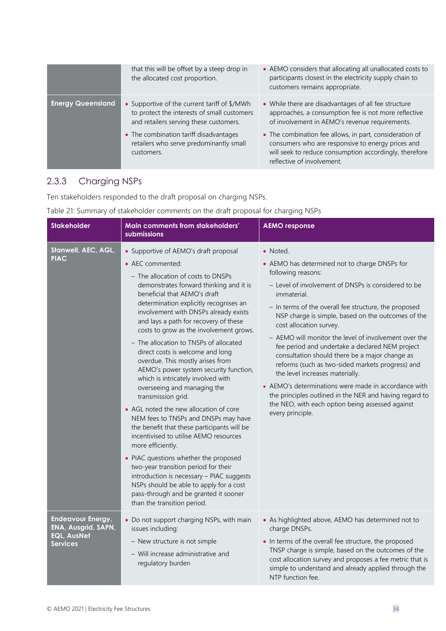|                          | that this will be offset by a steep drop in<br>the allocated cost proportion.                                                         | • AEMO considers that allocating all unallocated costs to<br>participants closest in the electricity supply chain to<br>customers remains appropriate.                                               |
|--------------------------|---------------------------------------------------------------------------------------------------------------------------------------|------------------------------------------------------------------------------------------------------------------------------------------------------------------------------------------------------|
| <b>Energy Queensland</b> | • Supportive of the current tariff of \$/MWh<br>to protect the interests of small customers<br>and retailers serving these customers. | • While there are disadvantages of all fee structure<br>approaches, a consumption fee is not more reflective<br>of involvement in AEMO's revenue requirements.                                       |
|                          | • The combination tariff disadvantages<br>retailers who serve predominantly small<br>customers.                                       | • The combination fee allows, in part, consideration of<br>consumers who are responsive to energy prices and<br>will seek to reduce consumption accordingly, therefore<br>reflective of involvement. |

# 2.3.3 Charging NSPs

Ten stakeholders responded to the draft proposal on charging NSPs.

| <b>Stakeholder</b>                                                                       | Main comments from stakeholders'<br>submissions                                                                                                                                                                                                                                                                                                                                                                                                                                                                                                                                                                                                                                                                                                                                                                                                                                                                                                                                                                                                           | <b>AEMO response</b>                                                                                                                                                                                                                                                                                                                                                                                                                                                                                                                                                                                                                                                                                                                            |
|------------------------------------------------------------------------------------------|-----------------------------------------------------------------------------------------------------------------------------------------------------------------------------------------------------------------------------------------------------------------------------------------------------------------------------------------------------------------------------------------------------------------------------------------------------------------------------------------------------------------------------------------------------------------------------------------------------------------------------------------------------------------------------------------------------------------------------------------------------------------------------------------------------------------------------------------------------------------------------------------------------------------------------------------------------------------------------------------------------------------------------------------------------------|-------------------------------------------------------------------------------------------------------------------------------------------------------------------------------------------------------------------------------------------------------------------------------------------------------------------------------------------------------------------------------------------------------------------------------------------------------------------------------------------------------------------------------------------------------------------------------------------------------------------------------------------------------------------------------------------------------------------------------------------------|
| Stanwell, AEC, AGL,<br><b>PIAC</b>                                                       | • Supportive of AEMO's draft proposal<br>• AEC commented:<br>- The allocation of costs to DNSPs<br>demonstrates forward thinking and it is<br>beneficial that AEMO's draft<br>determination explicitly recognises an<br>involvement with DNSPs already exists<br>and lays a path for recovery of these<br>costs to grow as the involvement grows.<br>- The allocation to TNSPs of allocated<br>direct costs is welcome and long<br>overdue. This mostly arises from<br>AEMO's power system security function,<br>which is intricately involved with<br>overseeing and managing the<br>transmission grid.<br>• AGL noted the new allocation of core<br>NEM fees to TNSPs and DNSPs may have<br>the benefit that these participants will be<br>incentivised to utilise AEMO resources<br>more efficiently.<br>• PIAC questions whether the proposed<br>two-year transition period for their<br>introduction is necessary - PIAC suggests<br>NSPs should be able to apply for a cost<br>pass-through and be granted it sooner<br>than the transition period. | • Noted.<br>• AEMO has determined not to charge DNSPs for<br>following reasons:<br>- Level of involvement of DNSPs is considered to be<br>immaterial.<br>- In terms of the overall fee structure, the proposed<br>NSP charge is simple, based on the outcomes of the<br>cost allocation survey.<br>- AEMO will monitor the level of involvement over the<br>fee period and undertake a declared NEM project<br>consultation should there be a major change as<br>reforms (such as two-sided markets progress) and<br>the level increases materially.<br>• AEMO's determinations were made in accordance with<br>the principles outlined in the NER and having regard to<br>the NEO, with each option being assessed against<br>every principle. |
| <b>Endeavour Energy,</b><br>ENA, Ausgrid, SAPN,<br><b>EQL, AusNet</b><br><b>Services</b> | • Do not support charging NSPs, with main<br>issues including:<br>- New structure is not simple<br>- Will increase administrative and<br>regulatory burden                                                                                                                                                                                                                                                                                                                                                                                                                                                                                                                                                                                                                                                                                                                                                                                                                                                                                                | • As highlighted above, AEMO has determined not to<br>charge DNSPs.<br>• In terms of the overall fee structure, the proposed<br>TNSP charge is simple, based on the outcomes of the<br>cost allocation survey and proposes a fee metric that is<br>simple to understand and already applied through the<br>NTP function fee.                                                                                                                                                                                                                                                                                                                                                                                                                    |

Table 21: Summary of stakeholder comments on the draft proposal for charging NSPs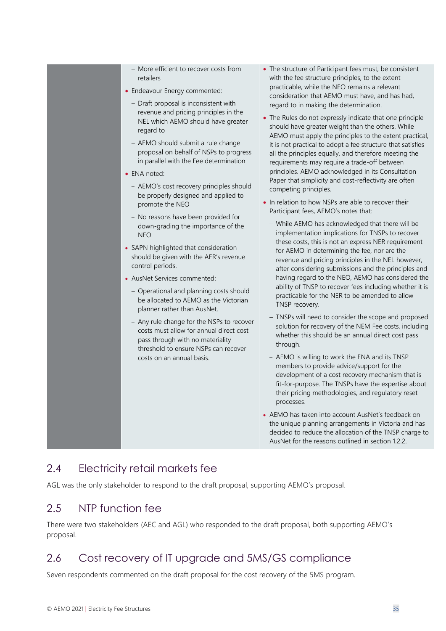| - More efficient to recover costs from<br>retailers<br>• Endeavour Energy commented:<br>- Draft proposal is inconsistent with<br>revenue and pricing principles in the<br>NEL which AEMO should have greater<br>regard to<br>- AEMO should submit a rule change<br>proposal on behalf of NSPs to progress<br>in parallel with the Fee determination<br>• ENA noted:<br>- AEMO's cost recovery principles should<br>be properly designed and applied to<br>promote the NEO<br>- No reasons have been provided for<br>down-grading the importance of the<br><b>NEO</b><br>• SAPN highlighted that consideration<br>should be given with the AER's revenue<br>control periods.<br>• AusNet Services commented:<br>- Operational and planning costs should<br>be allocated to AEMO as the Victorian<br>planner rather than AusNet.<br>- Any rule change for the NSPs to recover<br>costs must allow for annual direct cost<br>pass through with no materiality<br>threshold to ensure NSPs can recover<br>costs on an annual basis. | • The structure of Participant fees must, be consistent<br>with the fee structure principles, to the extent<br>practicable, while the NEO remains a relevant<br>consideration that AEMO must have, and has had,<br>regard to in making the determination.<br>• The Rules do not expressly indicate that one principle<br>should have greater weight than the others. While<br>AEMO must apply the principles to the extent practical,<br>it is not practical to adopt a fee structure that satisfies<br>all the principles equally, and therefore meeting the<br>requirements may require a trade-off between<br>principles. AEMO acknowledged in its Consultation<br>Paper that simplicity and cost-reflectivity are often<br>competing principles.<br>• In relation to how NSPs are able to recover their<br>Participant fees, AEMO's notes that:<br>- While AEMO has acknowledged that there will be<br>implementation implications for TNSPs to recover<br>these costs, this is not an express NER requirement<br>for AEMO in determining the fee, nor are the<br>revenue and pricing principles in the NEL however,<br>after considering submissions and the principles and<br>having regard to the NEO, AEMO has considered the<br>ability of TNSP to recover fees including whether it is<br>practicable for the NER to be amended to allow<br>TNSP recovery.<br>- TNSPs will need to consider the scope and proposed<br>solution for recovery of the NEM Fee costs, including<br>whether this should be an annual direct cost pass<br>through.<br>- AEMO is willing to work the ENA and its TNSP<br>members to provide advice/support for the<br>development of a cost recovery mechanism that is<br>fit-for-purpose. The TNSPs have the expertise about<br>their pricing methodologies, and regulatory reset<br>processes.<br>• AEMO has taken into account AusNet's feedback on<br>the unique planning arrangements in Victoria and has<br>decided to reduce the allocation of the TNSP charge to<br>AusNet for the reasons outlined in section 1.2.2. |
|---------------------------------------------------------------------------------------------------------------------------------------------------------------------------------------------------------------------------------------------------------------------------------------------------------------------------------------------------------------------------------------------------------------------------------------------------------------------------------------------------------------------------------------------------------------------------------------------------------------------------------------------------------------------------------------------------------------------------------------------------------------------------------------------------------------------------------------------------------------------------------------------------------------------------------------------------------------------------------------------------------------------------------|------------------------------------------------------------------------------------------------------------------------------------------------------------------------------------------------------------------------------------------------------------------------------------------------------------------------------------------------------------------------------------------------------------------------------------------------------------------------------------------------------------------------------------------------------------------------------------------------------------------------------------------------------------------------------------------------------------------------------------------------------------------------------------------------------------------------------------------------------------------------------------------------------------------------------------------------------------------------------------------------------------------------------------------------------------------------------------------------------------------------------------------------------------------------------------------------------------------------------------------------------------------------------------------------------------------------------------------------------------------------------------------------------------------------------------------------------------------------------------------------------------------------------------------------------------------------------------------------------------------------------------------------------------------------------------------------------------------------------------------------------------------------------------------------------------------------------------------------------------------------------------------------------------------------------------------------------------------------------------------------------------------------------------------------------------------|
|---------------------------------------------------------------------------------------------------------------------------------------------------------------------------------------------------------------------------------------------------------------------------------------------------------------------------------------------------------------------------------------------------------------------------------------------------------------------------------------------------------------------------------------------------------------------------------------------------------------------------------------------------------------------------------------------------------------------------------------------------------------------------------------------------------------------------------------------------------------------------------------------------------------------------------------------------------------------------------------------------------------------------------|------------------------------------------------------------------------------------------------------------------------------------------------------------------------------------------------------------------------------------------------------------------------------------------------------------------------------------------------------------------------------------------------------------------------------------------------------------------------------------------------------------------------------------------------------------------------------------------------------------------------------------------------------------------------------------------------------------------------------------------------------------------------------------------------------------------------------------------------------------------------------------------------------------------------------------------------------------------------------------------------------------------------------------------------------------------------------------------------------------------------------------------------------------------------------------------------------------------------------------------------------------------------------------------------------------------------------------------------------------------------------------------------------------------------------------------------------------------------------------------------------------------------------------------------------------------------------------------------------------------------------------------------------------------------------------------------------------------------------------------------------------------------------------------------------------------------------------------------------------------------------------------------------------------------------------------------------------------------------------------------------------------------------------------------------------------|

# <span id="page-34-0"></span>2.4 Electricity retail markets fee

AGL was the only stakeholder to respond to the draft proposal, supporting AEMO's proposal.

### <span id="page-34-1"></span>2.5 NTP function fee

There were two stakeholders (AEC and AGL) who responded to the draft proposal, both supporting AEMO's proposal.

# <span id="page-34-2"></span>2.6 Cost recovery of IT upgrade and 5MS/GS compliance

Seven respondents commented on the draft proposal for the cost recovery of the 5MS program.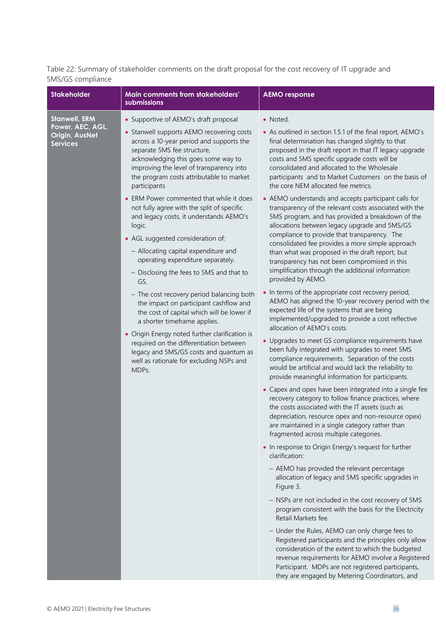Table 22: Summary of stakeholder comments on the draft proposal for the cost recovery of IT upgrade and 5MS/GS compliance

| <b>Stakeholder</b>                                                            | Main comments from stakeholders'<br>submissions                                                                                                                                                                                                                                                                                                                                                                                                                                                                                                                                                                                                                                                                                                                                                                                                                                                                                                                                                   | <b>AEMO</b> response                                                                                                                                                                                                                                                                                                                                                                                                                                                                                                                                                                                                                                                                                                                                                                                                                                                                                                                                                                                                                                                                                                                                                                                                                                                                                                                                                                                                                                                                                                                                                                                                                                                                                                                                                                                                                                                                                                                                                                                                                                                                                                                                                                                                                                                                                                                                                                                                |
|-------------------------------------------------------------------------------|---------------------------------------------------------------------------------------------------------------------------------------------------------------------------------------------------------------------------------------------------------------------------------------------------------------------------------------------------------------------------------------------------------------------------------------------------------------------------------------------------------------------------------------------------------------------------------------------------------------------------------------------------------------------------------------------------------------------------------------------------------------------------------------------------------------------------------------------------------------------------------------------------------------------------------------------------------------------------------------------------|---------------------------------------------------------------------------------------------------------------------------------------------------------------------------------------------------------------------------------------------------------------------------------------------------------------------------------------------------------------------------------------------------------------------------------------------------------------------------------------------------------------------------------------------------------------------------------------------------------------------------------------------------------------------------------------------------------------------------------------------------------------------------------------------------------------------------------------------------------------------------------------------------------------------------------------------------------------------------------------------------------------------------------------------------------------------------------------------------------------------------------------------------------------------------------------------------------------------------------------------------------------------------------------------------------------------------------------------------------------------------------------------------------------------------------------------------------------------------------------------------------------------------------------------------------------------------------------------------------------------------------------------------------------------------------------------------------------------------------------------------------------------------------------------------------------------------------------------------------------------------------------------------------------------------------------------------------------------------------------------------------------------------------------------------------------------------------------------------------------------------------------------------------------------------------------------------------------------------------------------------------------------------------------------------------------------------------------------------------------------------------------------------------------------|
| <b>Stanwell, ERM</b><br>Power, AEC, AGL,<br>Origin, AusNet<br><b>Services</b> | • Supportive of AEMO's draft proposal<br>• Stanwell supports AEMO recovering costs<br>across a 10-year period and supports the<br>separate 5MS fee structure,<br>acknowledging this goes some way to<br>improving the level of transparency into<br>the program costs attributable to market<br>participants<br>• ERM Power commented that while it does<br>not fully agree with the split of specific<br>and legacy costs, it understands AEMO's<br>logic.<br>• AGL suggested consideration of:<br>- Allocating capital expenditure and<br>operating expenditure separately.<br>- Disclosing the fees to 5MS and that to<br>GS.<br>- The cost recovery period balancing both<br>the impact on participant cashflow and<br>the cost of capital which will be lower if<br>a shorter timeframe applies.<br>• Origin Energy noted further clarification is<br>required on the differentiation between<br>legacy and 5MS/GS costs and quantum as<br>well as rationale for excluding NSPs and<br>MDPs. | • Noted.<br>• As outlined in section 1.5.1 of the final report, AEMO's<br>final determination has changed slightly to that<br>proposed in the draft report in that IT legacy upgrade<br>costs and 5MS specific upgrade costs will be<br>consolidated and allocated to the Wholesale<br>participants and to Market Customers on the basis of<br>the core NEM allocated fee metrics.<br>• AEMO understands and accepts participant calls for<br>transparency of the relevant costs associated with the<br>5MS program, and has provided a breakdown of the<br>allocations between legacy upgrade and 5MS/GS<br>compliance to provide that transparency. The<br>consolidated fee provides a more simple approach<br>than what was proposed in the draft report, but<br>transparency has not been compromised in this<br>simplification through the additional information<br>provided by AEMO.<br>• In terms of the appropriate cost recovery period,<br>AEMO has aligned the 10-year recovery period with the<br>expected life of the systems that are being<br>implemented/upgraded to provide a cost reflective<br>allocation of AEMO's costs.<br>• Upgrades to meet GS compliance requirements have<br>been fully integrated with upgrades to meet 5MS<br>compliance requirements. Separation of the costs<br>would be artificial and would lack the reliability to<br>provide meaningful information for participants.<br>• Capex and opex have been integrated into a single fee<br>recovery category to follow finance practices, where<br>the costs associated with the IT assets (such as<br>depreciation, resource opex and non-resource opex)<br>are maintained in a single category rather than<br>fragmented across multiple categories.<br>• In response to Origin Energy's request for further<br>clarification:<br>- AEMO has provided the relevant percentage<br>allocation of legacy and 5MS specific upgrades in<br>Figure 3.<br>- NSPs are not included in the cost recovery of 5MS<br>program consistent with the basis for the Electricity<br>Retail Markets fee.<br>- Under the Rules, AEMO can only charge fees to<br>Registered participants and the principles only allow<br>consideration of the extent to which the budgeted<br>revenue requirements for AEMO involve a Registered<br>Participant. MDPs are not registered participants,<br>they are engaged by Metering Coordinators, and |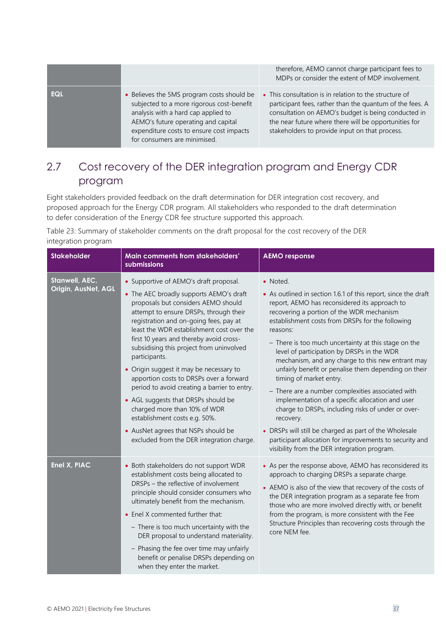|            |                                                                                                                                                                                                                                                   | therefore, AEMO cannot charge participant fees to<br>MDPs or consider the extent of MDP involvement.                                                                                                                                                                                 |
|------------|---------------------------------------------------------------------------------------------------------------------------------------------------------------------------------------------------------------------------------------------------|--------------------------------------------------------------------------------------------------------------------------------------------------------------------------------------------------------------------------------------------------------------------------------------|
| <b>EQL</b> | • Believes the 5MS program costs should be<br>subjected to a more rigorous cost-benefit<br>analysis with a hard cap applied to<br>AEMO's future operating and capital<br>expenditure costs to ensure cost impacts<br>for consumers are minimised. | • This consultation is in relation to the structure of<br>participant fees, rather than the quantum of the fees. A<br>consultation on AEMO's budget is being conducted in<br>the near future where there will be opportunities for<br>stakeholders to provide input on that process. |

# <span id="page-36-0"></span>2.7 Cost recovery of the DER integration program and Energy CDR program

Eight stakeholders provided feedback on the draft determination for DER integration cost recovery, and proposed approach for the Energy CDR program. All stakeholders who responded to the draft determination to defer consideration of the Energy CDR fee structure supported this approach.

Table 23: Summary of stakeholder comments on the draft proposal for the cost recovery of the DER integration program

| <b>Stakeholder</b>                    | Main comments from stakeholders'<br>submissions                                                                                                                                                                                                                                                                                                                                                                                                                                                                                                                                                                                                                                                     | <b>AEMO response</b>                                                                                                                                                                                                                                                                                                                                                                                                                                                                                                                                                                                                                                                                                                                                                                                                                    |
|---------------------------------------|-----------------------------------------------------------------------------------------------------------------------------------------------------------------------------------------------------------------------------------------------------------------------------------------------------------------------------------------------------------------------------------------------------------------------------------------------------------------------------------------------------------------------------------------------------------------------------------------------------------------------------------------------------------------------------------------------------|-----------------------------------------------------------------------------------------------------------------------------------------------------------------------------------------------------------------------------------------------------------------------------------------------------------------------------------------------------------------------------------------------------------------------------------------------------------------------------------------------------------------------------------------------------------------------------------------------------------------------------------------------------------------------------------------------------------------------------------------------------------------------------------------------------------------------------------------|
| Stanwell, AEC,<br>Origin, AusNet, AGL | • Supportive of AEMO's draft proposal.<br>• The AEC broadly supports AEMO's draft<br>proposals but considers AEMO should<br>attempt to ensure DRSPs, through their<br>registration and on-going fees, pay at<br>least the WDR establishment cost over the<br>first 10 years and thereby avoid cross-<br>subsidising this project from uninvolved<br>participants.<br>• Origin suggest it may be necessary to<br>apportion costs to DRSPs over a forward<br>period to avoid creating a barrier to entry.<br>• AGL suggests that DRSPs should be<br>charged more than 10% of WDR<br>establishment costs e.g. 50%.<br>• AusNet agrees that NSPs should be<br>excluded from the DER integration charge. | • Noted.<br>• As outlined in section 1.6.1 of this report, since the draft<br>report, AEMO has reconsidered its approach to<br>recovering a portion of the WDR mechanism<br>establishment costs from DRSPs for the following<br>reasons:<br>- There is too much uncertainty at this stage on the<br>level of participation by DRSPs in the WDR<br>mechanism, and any charge to this new entrant may<br>unfairly benefit or penalise them depending on their<br>timing of market entry.<br>- There are a number complexities associated with<br>implementation of a specific allocation and user<br>charge to DRSPs, including risks of under or over-<br>recovery.<br>• DRSPs will still be charged as part of the Wholesale<br>participant allocation for improvements to security and<br>visibility from the DER integration program. |
| Enel X, PIAC                          | • Both stakeholders do not support WDR<br>establishment costs being allocated to<br>DRSPs - the reflective of involvement<br>principle should consider consumers who<br>ultimately benefit from the mechanism.<br>• Enel X commented further that:<br>- There is too much uncertainty with the<br>DER proposal to understand materiality.<br>- Phasing the fee over time may unfairly<br>benefit or penalise DRSPs depending on<br>when they enter the market.                                                                                                                                                                                                                                      | • As per the response above, AEMO has reconsidered its<br>approach to charging DRSPs a separate charge.<br>• AEMO is also of the view that recovery of the costs of<br>the DER integration program as a separate fee from<br>those who are more involved directly with, or benefit<br>from the program, is more consistent with the Fee<br>Structure Principles than recovering costs through the<br>core NEM fee.                                                                                                                                                                                                                                                                                                                                                                                                                      |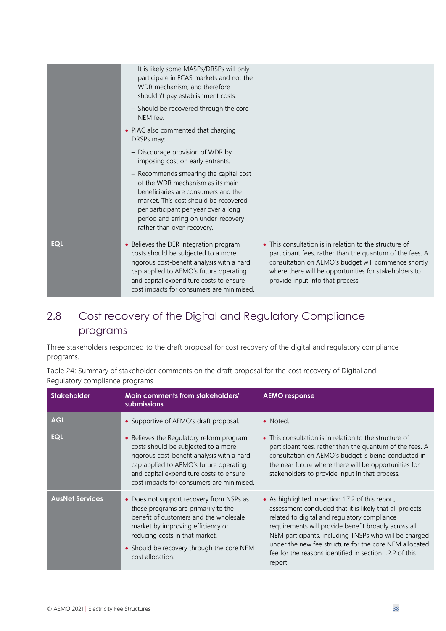|            | - It is likely some MASPs/DRSPs will only<br>participate in FCAS markets and not the<br>WDR mechanism, and therefore<br>shouldn't pay establishment costs.<br>- Should be recovered through the core<br>NEM fee.<br>• PIAC also commented that charging<br>DRSPs may:<br>- Discourage provision of WDR by<br>imposing cost on early entrants.<br>- Recommends smearing the capital cost<br>of the WDR mechanism as its main<br>beneficiaries are consumers and the<br>market. This cost should be recovered<br>per participant per year over a long<br>period and erring on under-recovery<br>rather than over-recovery. |                                                                                                                                                                                                                                                                        |
|------------|--------------------------------------------------------------------------------------------------------------------------------------------------------------------------------------------------------------------------------------------------------------------------------------------------------------------------------------------------------------------------------------------------------------------------------------------------------------------------------------------------------------------------------------------------------------------------------------------------------------------------|------------------------------------------------------------------------------------------------------------------------------------------------------------------------------------------------------------------------------------------------------------------------|
| <b>EQL</b> | • Believes the DER integration program<br>costs should be subjected to a more<br>rigorous cost-benefit analysis with a hard<br>cap applied to AEMO's future operating<br>and capital expenditure costs to ensure<br>cost impacts for consumers are minimised.                                                                                                                                                                                                                                                                                                                                                            | • This consultation is in relation to the structure of<br>participant fees, rather than the quantum of the fees. A<br>consultation on AEMO's budget will commence shortly<br>where there will be opportunities for stakeholders to<br>provide input into that process. |

# <span id="page-37-0"></span>2.8 Cost recovery of the Digital and Regulatory Compliance programs

Three stakeholders responded to the draft proposal for cost recovery of the digital and regulatory compliance programs.

Table 24: Summary of stakeholder comments on the draft proposal for the cost recovery of Digital and Regulatory compliance programs

| <b>Stakeholder</b>     | Main comments from stakeholders'<br>submissions                                                                                                                                                                                                                   | <b>AEMO</b> response                                                                                                                                                                                                                                                                                                                                                                                           |
|------------------------|-------------------------------------------------------------------------------------------------------------------------------------------------------------------------------------------------------------------------------------------------------------------|----------------------------------------------------------------------------------------------------------------------------------------------------------------------------------------------------------------------------------------------------------------------------------------------------------------------------------------------------------------------------------------------------------------|
| <b>AGL</b>             | • Supportive of AEMO's draft proposal.                                                                                                                                                                                                                            | • Noted.                                                                                                                                                                                                                                                                                                                                                                                                       |
| <b>EQL</b>             | • Believes the Regulatory reform program<br>costs should be subjected to a more<br>rigorous cost-benefit analysis with a hard<br>cap applied to AEMO's future operating<br>and capital expenditure costs to ensure<br>cost impacts for consumers are minimised.   | • This consultation is in relation to the structure of<br>participant fees, rather than the quantum of the fees. A<br>consultation on AEMO's budget is being conducted in<br>the near future where there will be opportunities for<br>stakeholders to provide input in that process.                                                                                                                           |
| <b>AusNet Services</b> | • Does not support recovery from NSPs as<br>these programs are primarily to the<br>benefit of customers and the wholesale<br>market by improving efficiency or<br>reducing costs in that market.<br>• Should be recovery through the core NEM<br>cost allocation. | • As highlighted in section 1.7.2 of this report,<br>assessment concluded that it is likely that all projects<br>related to digital and regulatory compliance<br>requirements will provide benefit broadly across all<br>NEM participants, including TNSPs who will be charged<br>under the new fee structure for the core NEM allocated<br>fee for the reasons identified in section 1.2.2 of this<br>report. |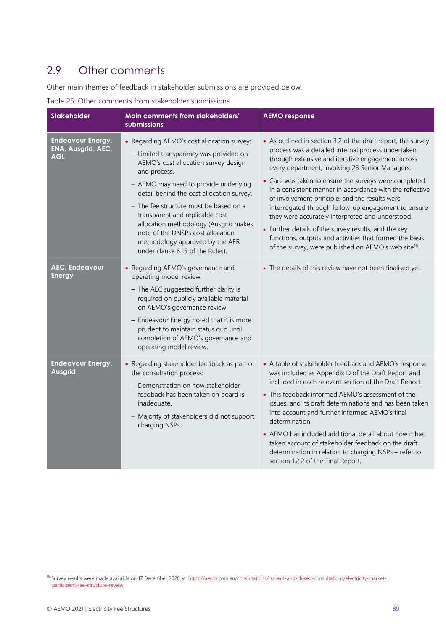### <span id="page-38-0"></span>2.9 Other comments

Other main themes of feedback in stakeholder submissions are provided below.

#### Table 25: Other comments from stakeholder submissions

| <b>Stakeholder</b>                                           | Main comments from stakeholders'<br>submissions                                                                                                                                                                                                                                                                                                                                                                                                                      | <b>AEMO response</b>                                                                                                                                                                                                                                                                                                                                                                                                                                                                                                                                                                                                                                                                                |
|--------------------------------------------------------------|----------------------------------------------------------------------------------------------------------------------------------------------------------------------------------------------------------------------------------------------------------------------------------------------------------------------------------------------------------------------------------------------------------------------------------------------------------------------|-----------------------------------------------------------------------------------------------------------------------------------------------------------------------------------------------------------------------------------------------------------------------------------------------------------------------------------------------------------------------------------------------------------------------------------------------------------------------------------------------------------------------------------------------------------------------------------------------------------------------------------------------------------------------------------------------------|
| <b>Endeavour Energy,</b><br>ENA, Ausgrid, AEC,<br><b>AGL</b> | • Regarding AEMO's cost allocation survey:<br>- Limited transparency was provided on<br>AEMO's cost allocation survey design<br>and process.<br>- AEMO may need to provide underlying<br>detail behind the cost allocation survey.<br>- The fee structure must be based on a<br>transparent and replicable cost<br>allocation methodology (Ausgrid makes<br>note of the DNSPs cost allocation<br>methodology approved by the AER<br>under clause 6.15 of the Rules). | • As outlined in section 3.2 of the draft report, the survey<br>process was a detailed internal process undertaken<br>through extensive and iterative engagement across<br>every department, involving 23 Senior Managers.<br>• Care was taken to ensure the surveys were completed<br>in a consistent manner in accordance with the reflective<br>of involvement principle; and the results were<br>interrogated through follow-up engagement to ensure<br>they were accurately interpreted and understood.<br>• Further details of the survey results, and the key<br>functions, outputs and activities that formed the basis<br>of the survey, were published on AEMO's web site <sup>18</sup> . |
| <b>AEC, Endeavour</b><br><b>Energy</b>                       | • Regarding AEMO's governance and<br>operating model review:<br>- The AEC suggested further clarity is<br>required on publicly available material<br>on AEMO's governance review.<br>- Endeavour Energy noted that it is more<br>prudent to maintain status quo until<br>completion of AEMO's governance and<br>operating model review.                                                                                                                              | • The details of this review have not been finalised yet.                                                                                                                                                                                                                                                                                                                                                                                                                                                                                                                                                                                                                                           |
| <b>Endeavour Energy,</b><br>Ausgrid                          | • Regarding stakeholder feedback as part of<br>the consultation process:<br>- Demonstration on how stakeholder<br>feedback has been taken on board is<br>inadequate.<br>Majority of stakeholders did not support<br>charging NSPs.                                                                                                                                                                                                                                   | • A table of stakeholder feedback and AEMO's response<br>was included as Appendix D of the Draft Report and<br>included in each relevant section of the Draft Report.<br>• This feedback informed AEMO's assessment of the<br>issues, and its draft determinations and has been taken<br>into account and further informed AEMO's final<br>determination.<br>• AEMO has included additional detail about how it has<br>taken account of stakeholder feedback on the draft<br>determination in relation to charging NSPs - refer to<br>section 1.2.2 of the Final Report.                                                                                                                            |

<sup>&</sup>lt;sup>18</sup> Survey results were made available on 17 December 2020 at[: https://aemo.com.au/consultations/current-and-closed-consultations/electricity-market](https://aemo.com.au/consultations/current-and-closed-consultations/electricity-market-participant-fee-structure-review)[participant-fee-structure-review](https://aemo.com.au/consultations/current-and-closed-consultations/electricity-market-participant-fee-structure-review)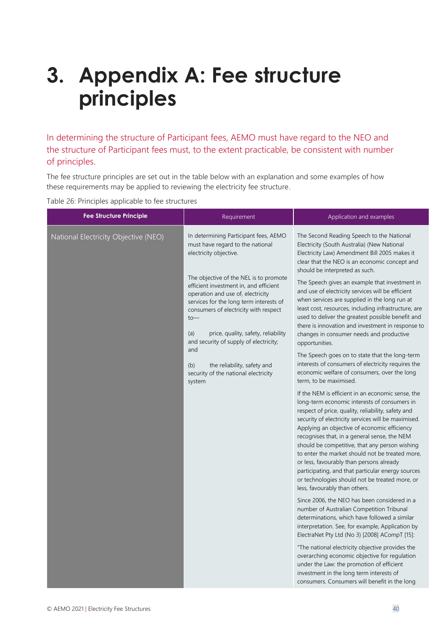# <span id="page-39-0"></span>**3. Appendix A: Fee structure principles**

In determining the structure of Participant fees, AEMO must have regard to the NEO and the structure of Participant fees must, to the extent practicable, be consistent with number of principles.

The fee structure principles are set out in the table below with an explanation and some examples of how these requirements may be applied to reviewing the electricity fee structure.

Table 26: Principles applicable to fee structures

| <b>Fee Structure Principle</b>       | Requirement                                                                                                                                                                                                        | Application and examples                                                                                                                                                                                                                                                                                                                                                                                                                                                                                                                                                                                |
|--------------------------------------|--------------------------------------------------------------------------------------------------------------------------------------------------------------------------------------------------------------------|---------------------------------------------------------------------------------------------------------------------------------------------------------------------------------------------------------------------------------------------------------------------------------------------------------------------------------------------------------------------------------------------------------------------------------------------------------------------------------------------------------------------------------------------------------------------------------------------------------|
| National Electricity Objective (NEO) | In determining Participant fees, AEMO<br>must have regard to the national<br>electricity objective.                                                                                                                | The Second Reading Speech to the National<br>Electricity (South Australia) (New National<br>Electricity Law) Amendment Bill 2005 makes it<br>clear that the NEO is an economic concept and<br>should be interpreted as such.                                                                                                                                                                                                                                                                                                                                                                            |
|                                      | The objective of the NEL is to promote<br>efficient investment in, and efficient<br>operation and use of, electricity<br>services for the long term interests of<br>consumers of electricity with respect<br>$to-$ | The Speech gives an example that investment in<br>and use of electricity services will be efficient<br>when services are supplied in the long run at<br>least cost, resources, including infrastructure, are<br>used to deliver the greatest possible benefit and                                                                                                                                                                                                                                                                                                                                       |
|                                      | price, quality, safety, reliability<br>(a)<br>and security of supply of electricity;                                                                                                                               | there is innovation and investment in response to<br>changes in consumer needs and productive<br>opportunities.                                                                                                                                                                                                                                                                                                                                                                                                                                                                                         |
|                                      | and<br>(b)<br>the reliability, safety and<br>security of the national electricity<br>system                                                                                                                        | The Speech goes on to state that the long-term<br>interests of consumers of electricity requires the<br>economic welfare of consumers, over the long<br>term, to be maximised.                                                                                                                                                                                                                                                                                                                                                                                                                          |
|                                      |                                                                                                                                                                                                                    | If the NEM is efficient in an economic sense, the<br>long-term economic interests of consumers in<br>respect of price, quality, reliability, safety and<br>security of electricity services will be maximised.<br>Applying an objective of economic efficiency<br>recognises that, in a general sense, the NEM<br>should be competitive, that any person wishing<br>to enter the market should not be treated more,<br>or less, favourably than persons already<br>participating, and that particular energy sources<br>or technologies should not be treated more, or<br>less, favourably than others. |
|                                      |                                                                                                                                                                                                                    | Since 2006, the NEO has been considered in a<br>number of Australian Competition Tribunal<br>determinations, which have followed a similar<br>interpretation. See, for example, Application by<br>ElectraNet Pty Ltd (No 3) [2008] ACompT [15]:                                                                                                                                                                                                                                                                                                                                                         |
|                                      |                                                                                                                                                                                                                    | "The national electricity objective provides the<br>overarching economic objective for regulation<br>under the Law: the promotion of efficient<br>investment in the long term interests of<br>consumers. Consumers will benefit in the long                                                                                                                                                                                                                                                                                                                                                             |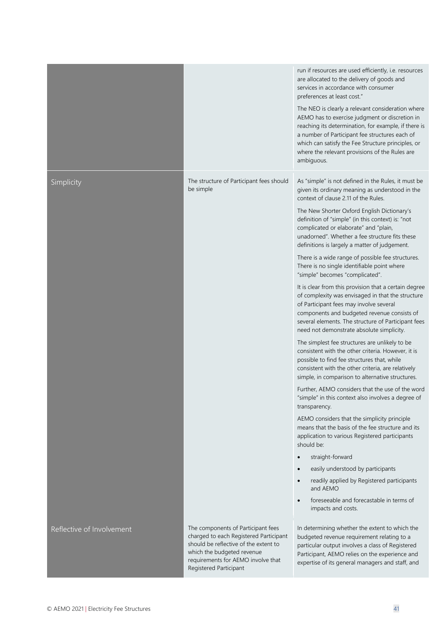|                           |                                                                                                                                                                                                                     | run if resources are used efficiently, i.e. resources<br>are allocated to the delivery of goods and<br>services in accordance with consumer<br>preferences at least cost."<br>The NEO is clearly a relevant consideration where<br>AEMO has to exercise judgment or discretion in<br>reaching its determination, for example, if there is<br>a number of Participant fee structures each of<br>which can satisfy the Fee Structure principles, or<br>where the relevant provisions of the Rules are<br>ambiguous.                                                                                                                                                                                                                                                                                                                                                                                                                                                                                                                                                                                                                                                                                                                                                                                                                                                                                                                                                                                                                                                                                                                                           |
|---------------------------|---------------------------------------------------------------------------------------------------------------------------------------------------------------------------------------------------------------------|-------------------------------------------------------------------------------------------------------------------------------------------------------------------------------------------------------------------------------------------------------------------------------------------------------------------------------------------------------------------------------------------------------------------------------------------------------------------------------------------------------------------------------------------------------------------------------------------------------------------------------------------------------------------------------------------------------------------------------------------------------------------------------------------------------------------------------------------------------------------------------------------------------------------------------------------------------------------------------------------------------------------------------------------------------------------------------------------------------------------------------------------------------------------------------------------------------------------------------------------------------------------------------------------------------------------------------------------------------------------------------------------------------------------------------------------------------------------------------------------------------------------------------------------------------------------------------------------------------------------------------------------------------------|
| Simplicity                | The structure of Participant fees should<br>be simple                                                                                                                                                               | As "simple" is not defined in the Rules, it must be<br>given its ordinary meaning as understood in the<br>context of clause 2.11 of the Rules.<br>The New Shorter Oxford English Dictionary's<br>definition of "simple" (in this context) is: "not<br>complicated or elaborate" and "plain,<br>unadorned". Whether a fee structure fits these<br>definitions is largely a matter of judgement.<br>There is a wide range of possible fee structures.<br>There is no single identifiable point where<br>"simple" becomes "complicated".<br>It is clear from this provision that a certain degree<br>of complexity was envisaged in that the structure<br>of Participant fees may involve several<br>components and budgeted revenue consists of<br>several elements. The structure of Participant fees<br>need not demonstrate absolute simplicity.<br>The simplest fee structures are unlikely to be<br>consistent with the other criteria. However, it is<br>possible to find fee structures that, while<br>consistent with the other criteria, are relatively<br>simple, in comparison to alternative structures.<br>Further, AEMO considers that the use of the word<br>"simple" in this context also involves a degree of<br>transparency.<br>AEMO considers that the simplicity principle<br>means that the basis of the fee structure and its<br>application to various Registered participants<br>should be:<br>straight-forward<br>$\bullet$<br>easily understood by participants<br>$\bullet$<br>readily applied by Registered participants<br>$\bullet$<br>and AEMO<br>foreseeable and forecastable in terms of<br>$\bullet$<br>impacts and costs. |
| Reflective of Involvement | The components of Participant fees<br>charged to each Registered Participant<br>should be reflective of the extent to<br>which the budgeted revenue<br>requirements for AEMO involve that<br>Registered Participant | In determining whether the extent to which the<br>budgeted revenue requirement relating to a<br>particular output involves a class of Registered<br>Participant, AEMO relies on the experience and<br>expertise of its general managers and staff, and                                                                                                                                                                                                                                                                                                                                                                                                                                                                                                                                                                                                                                                                                                                                                                                                                                                                                                                                                                                                                                                                                                                                                                                                                                                                                                                                                                                                      |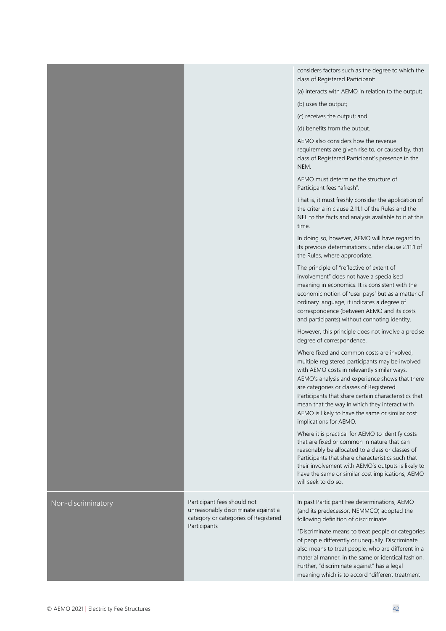|                    |                                                                                                            | considers factors such as the degree to which the<br>class of Registered Participant:                                                                                                                                                                                                                                                                                                                                             |
|--------------------|------------------------------------------------------------------------------------------------------------|-----------------------------------------------------------------------------------------------------------------------------------------------------------------------------------------------------------------------------------------------------------------------------------------------------------------------------------------------------------------------------------------------------------------------------------|
|                    |                                                                                                            | (a) interacts with AEMO in relation to the output;                                                                                                                                                                                                                                                                                                                                                                                |
|                    |                                                                                                            | (b) uses the output;                                                                                                                                                                                                                                                                                                                                                                                                              |
|                    |                                                                                                            | (c) receives the output; and                                                                                                                                                                                                                                                                                                                                                                                                      |
|                    |                                                                                                            | (d) benefits from the output.                                                                                                                                                                                                                                                                                                                                                                                                     |
|                    |                                                                                                            | AEMO also considers how the revenue<br>requirements are given rise to, or caused by, that<br>class of Registered Participant's presence in the<br>NEM.                                                                                                                                                                                                                                                                            |
|                    |                                                                                                            | AEMO must determine the structure of<br>Participant fees "afresh".                                                                                                                                                                                                                                                                                                                                                                |
|                    |                                                                                                            | That is, it must freshly consider the application of<br>the criteria in clause 2.11.1 of the Rules and the<br>NEL to the facts and analysis available to it at this<br>time.                                                                                                                                                                                                                                                      |
|                    |                                                                                                            | In doing so, however, AEMO will have regard to<br>its previous determinations under clause 2.11.1 of<br>the Rules, where appropriate.                                                                                                                                                                                                                                                                                             |
|                    |                                                                                                            | The principle of "reflective of extent of<br>involvement" does not have a specialised<br>meaning in economics. It is consistent with the<br>economic notion of 'user pays' but as a matter of<br>ordinary language, it indicates a degree of<br>correspondence (between AEMO and its costs<br>and participants) without connoting identity.                                                                                       |
|                    |                                                                                                            | However, this principle does not involve a precise<br>degree of correspondence.                                                                                                                                                                                                                                                                                                                                                   |
|                    |                                                                                                            | Where fixed and common costs are involved,<br>multiple registered participants may be involved<br>with AEMO costs in relevantly similar ways.<br>AEMO's analysis and experience shows that there<br>are categories or classes of Registered<br>Participants that share certain characteristics that<br>mean that the way in which they interact with<br>AEMO is likely to have the same or similar cost<br>implications for AEMO. |
|                    |                                                                                                            | Where it is practical for AEMO to identify costs<br>that are fixed or common in nature that can<br>reasonably be allocated to a class or classes of<br>Participants that share characteristics such that<br>their involvement with AEMO's outputs is likely to<br>have the same or similar cost implications, AEMO<br>will seek to do so.                                                                                         |
| Non-discriminatory | Participant fees should not<br>unreasonably discriminate against a<br>category or categories of Registered | In past Participant Fee determinations, AEMO<br>(and its predecessor, NEMMCO) adopted the<br>following definition of discriminate:                                                                                                                                                                                                                                                                                                |
|                    | Participants                                                                                               | "Discriminate means to treat people or categories<br>of people differently or unequally. Discriminate<br>also means to treat people, who are different in a<br>material manner, in the same or identical fashion.<br>Further, "discriminate against" has a legal<br>meaning which is to accord "different treatment                                                                                                               |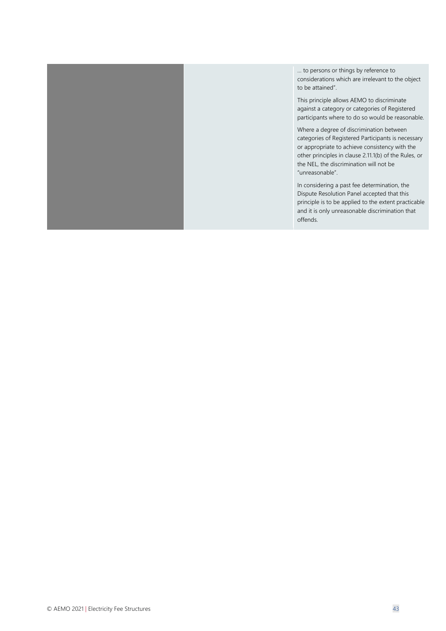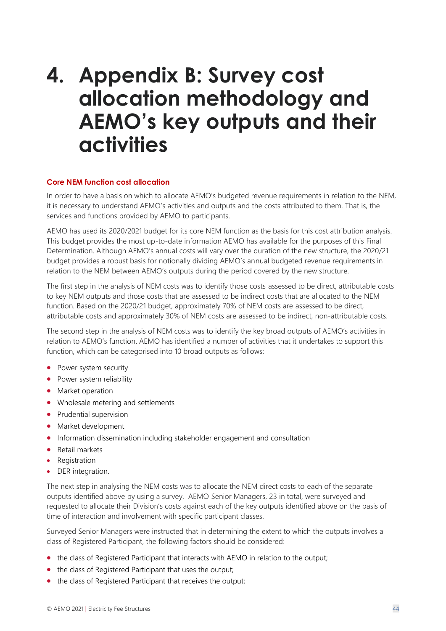# <span id="page-43-0"></span>**4. Appendix B: Survey cost allocation methodology and AEMO's key outputs and their activities**

#### **Core NEM function cost allocation**

In order to have a basis on which to allocate AEMO's budgeted revenue requirements in relation to the NEM, it is necessary to understand AEMO's activities and outputs and the costs attributed to them. That is, the services and functions provided by AEMO to participants.

AEMO has used its 2020/2021 budget for its core NEM function as the basis for this cost attribution analysis. This budget provides the most up-to-date information AEMO has available for the purposes of this Final Determination. Although AEMO's annual costs will vary over the duration of the new structure, the 2020/21 budget provides a robust basis for notionally dividing AEMO's annual budgeted revenue requirements in relation to the NEM between AEMO's outputs during the period covered by the new structure.

The first step in the analysis of NEM costs was to identify those costs assessed to be direct, attributable costs to key NEM outputs and those costs that are assessed to be indirect costs that are allocated to the NEM function. Based on the 2020/21 budget, approximately 70% of NEM costs are assessed to be direct, attributable costs and approximately 30% of NEM costs are assessed to be indirect, non-attributable costs.

The second step in the analysis of NEM costs was to identify the key broad outputs of AEMO's activities in relation to AEMO's function. AEMO has identified a number of activities that it undertakes to support this function, which can be categorised into 10 broad outputs as follows:

- Power system security
- Power system reliability
- Market operation
- Wholesale metering and settlements
- Prudential supervision
- Market development
- Information dissemination including stakeholder engagement and consultation
- Retail markets
- Registration
- DER integration.

The next step in analysing the NEM costs was to allocate the NEM direct costs to each of the separate outputs identified above by using a survey. AEMO Senior Managers, 23 in total, were surveyed and requested to allocate their Division's costs against each of the key outputs identified above on the basis of time of interaction and involvement with specific participant classes.

Surveyed Senior Managers were instructed that in determining the extent to which the outputs involves a class of Registered Participant, the following factors should be considered:

- the class of Registered Participant that interacts with AEMO in relation to the output;
- the class of Registered Participant that uses the output;
- the class of Registered Participant that receives the output;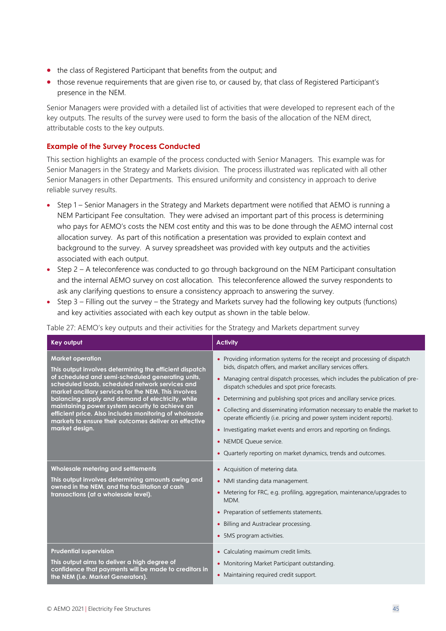- the class of Registered Participant that benefits from the output; and
- those revenue requirements that are given rise to, or caused by, that class of Registered Participant's presence in the NEM.

Senior Managers were provided with a detailed list of activities that were developed to represent each of the key outputs. The results of the survey were used to form the basis of the allocation of the NEM direct, attributable costs to the key outputs.

#### **Example of the Survey Process Conducted**

This section highlights an example of the process conducted with Senior Managers. This example was for Senior Managers in the Strategy and Markets division. The process illustrated was replicated with all other Senior Managers in other Departments. This ensured uniformity and consistency in approach to derive reliable survey results.

- Step 1 Senior Managers in the Strategy and Markets department were notified that AEMO is running a NEM Participant Fee consultation. They were advised an important part of this process is determining who pays for AEMO's costs the NEM cost entity and this was to be done through the AEMO internal cost allocation survey. As part of this notification a presentation was provided to explain context and background to the survey. A survey spreadsheet was provided with key outputs and the activities associated with each output.
- Step 2 A teleconference was conducted to go through background on the NEM Participant consultation and the internal AEMO survey on cost allocation. This teleconference allowed the survey respondents to ask any clarifying questions to ensure a consistency approach to answering the survey.
- Step 3 Filling out the survey the Strategy and Markets survey had the following key outputs (functions) and key activities associated with each key output as shown in the table below.

Table 27: AEMO's key outputs and their activities for the Strategy and Markets department survey

| Key output                                                                                                                                                                                                                                                                                                                                                                                                                                                                                      | <b>Activity</b>                                                                                                                                                                                                                                                                                                                                                                                                                                                                                                                                                                                                                                                                              |
|-------------------------------------------------------------------------------------------------------------------------------------------------------------------------------------------------------------------------------------------------------------------------------------------------------------------------------------------------------------------------------------------------------------------------------------------------------------------------------------------------|----------------------------------------------------------------------------------------------------------------------------------------------------------------------------------------------------------------------------------------------------------------------------------------------------------------------------------------------------------------------------------------------------------------------------------------------------------------------------------------------------------------------------------------------------------------------------------------------------------------------------------------------------------------------------------------------|
| <b>Market operation</b><br>This output involves determining the efficient dispatch<br>of scheduled and semi-scheduled generating units,<br>scheduled loads, scheduled network services and<br>market ancillary services for the NEM. This involves<br>balancing supply and demand of electricity, while<br>maintaining power system security to achieve an<br>efficient price. Also includes monitoring of wholesale<br>markets to ensure their outcomes deliver on effective<br>market design. | • Providing information systems for the receipt and processing of dispatch<br>bids, dispatch offers, and market ancillary services offers.<br>• Managing central dispatch processes, which includes the publication of pre-<br>dispatch schedules and spot price forecasts.<br>• Determining and publishing spot prices and ancillary service prices.<br>Collecting and disseminating information necessary to enable the market to<br>$\bullet$<br>operate efficiently (i.e. pricing and power system incident reports).<br>• Investigating market events and errors and reporting on findings.<br>• NEMDE Oueue service.<br>• Quarterly reporting on market dynamics, trends and outcomes. |
| Wholesale metering and settlements<br>This output involves determining amounts owing and<br>owned in the NEM, and the facilitation of cash<br>transactions (at a wholesale level).                                                                                                                                                                                                                                                                                                              | • Acquisition of metering data.<br>• NMI standing data management.<br>• Metering for FRC, e.g. profiling, aggregation, maintenance/upgrades to<br>MDM.<br>• Preparation of settlements statements.<br>• Billing and Austraclear processing.<br>• 5MS program activities.                                                                                                                                                                                                                                                                                                                                                                                                                     |
| <b>Prudential supervision</b><br>This output aims to deliver a high degree of<br>confidence that payments will be made to creditors in<br>the NEM (i.e. Market Generators).                                                                                                                                                                                                                                                                                                                     | • Calculating maximum credit limits.<br>• Monitoring Market Participant outstanding.<br>• Maintaining required credit support.                                                                                                                                                                                                                                                                                                                                                                                                                                                                                                                                                               |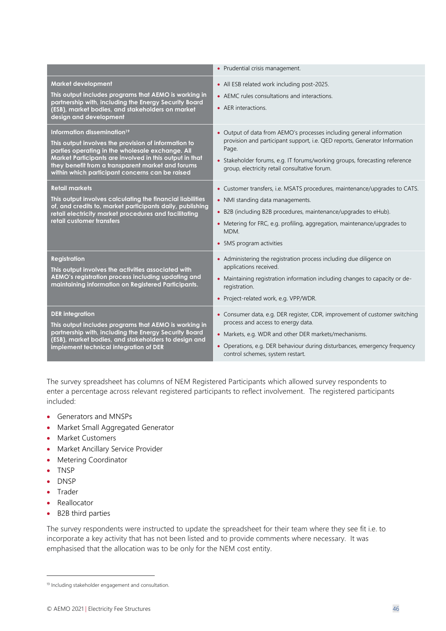|                                                                                                                                                                                                                                                                                                                        | • Prudential crisis management.                                                                                                                                                                                                                                                                   |
|------------------------------------------------------------------------------------------------------------------------------------------------------------------------------------------------------------------------------------------------------------------------------------------------------------------------|---------------------------------------------------------------------------------------------------------------------------------------------------------------------------------------------------------------------------------------------------------------------------------------------------|
| <b>Market development</b><br>This output includes programs that AEMO is working in<br>partnership with, including the Energy Security Board<br>(ESB), market bodies, and stakeholders on market<br>design and development                                                                                              | • All ESB related work including post-2025.<br>• AEMC rules consultations and interactions.<br>• AER interactions.                                                                                                                                                                                |
| Information dissemination <sup>19</sup><br>This output involves the provision of information to<br>parties operating in the wholesale exchange. All<br>Market Participants are involved in this output in that<br>they benefit from a transparent market and forums<br>within which participant concerns can be raised | • Output of data from AEMO's processes including general information<br>provision and participant support, i.e. QED reports, Generator Information<br>Page.<br>• Stakeholder forums, e.g. IT forums/working groups, forecasting reference<br>group, electricity retail consultative forum.        |
| <b>Retail markets</b><br>This output involves calculating the financial liabilities<br>of, and credits to, market participants daily, publishing<br>retail electricity market procedures and facilitating<br>retail customer transfers                                                                                 | • Customer transfers, i.e. MSATS procedures, maintenance/upgrades to CATS.<br>• NMI standing data managements.<br>• B2B (including B2B procedures, maintenance/upgrades to eHub).<br>• Metering for FRC, e.g. profiling, aggregation, maintenance/upgrades to<br>MDM.<br>• 5MS program activities |
| <b>Registration</b><br>This output involves the activities associated with<br>AEMO's registration process including updating and<br>maintaining information on Registered Participants.                                                                                                                                | • Administering the registration process including due diligence on<br>applications received.<br>• Maintaining registration information including changes to capacity or de-<br>registration.<br>• Project-related work, e.g. VPP/WDR.                                                            |
| <b>DER</b> integration<br>This output includes programs that AEMO is working in<br>partnership with, including the Energy Security Board<br>(ESB), market bodies, and stakeholders to design and<br>implement technical integration of DER                                                                             | • Consumer data, e.g. DER register, CDR, improvement of customer switching<br>process and access to energy data.<br>• Markets, e.g. WDR and other DER markets/mechanisms.<br>• Operations, e.g. DER behaviour during disturbances, emergency frequency<br>control schemes, system restart.        |

The survey spreadsheet has columns of NEM Registered Participants which allowed survey respondents to enter a percentage across relevant registered participants to reflect involvement. The registered participants included:

- Generators and MNSPs
- Market Small Aggregated Generator
- Market Customers
- Market Ancillary Service Provider
- Metering Coordinator
- TNSP
- DNSP
- Trader
- Reallocator
- B2B third parties

The survey respondents were instructed to update the spreadsheet for their team where they see fit i.e. to incorporate a key activity that has not been listed and to provide comments where necessary. It was emphasised that the allocation was to be only for the NEM cost entity.

<sup>19</sup> Including stakeholder engagement and consultation.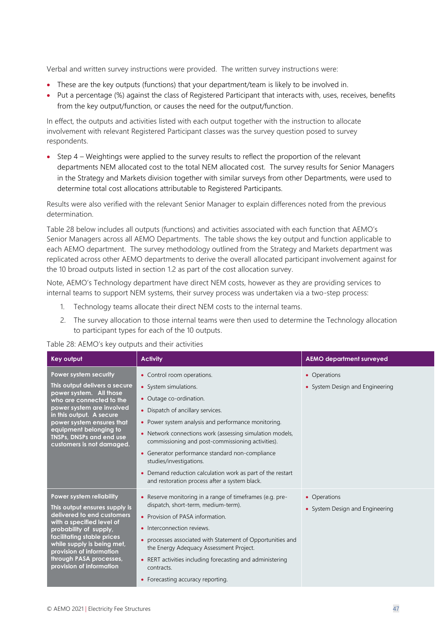Verbal and written survey instructions were provided. The written survey instructions were:

- These are the key outputs (functions) that your department/team is likely to be involved in.
- Put a percentage (%) against the class of Registered Participant that interacts with, uses, receives, benefits from the key output/function, or causes the need for the output/function.

In effect, the outputs and activities listed with each output together with the instruction to allocate involvement with relevant Registered Participant classes was the survey question posed to survey respondents.

• Step 4 – Weightings were applied to the survey results to reflect the proportion of the relevant departments NEM allocated cost to the total NEM allocated cost. The survey results for Senior Managers in the Strategy and Markets division together with similar surveys from other Departments, were used to determine total cost allocations attributable to Registered Participants.

Results were also verified with the relevant Senior Manager to explain differences noted from the previous determination.

Table 28 below includes all outputs (functions) and activities associated with each function that AEMO's Senior Managers across all AEMO Departments. The table shows the key output and function applicable to each AEMO department. The survey methodology outlined from the Strategy and Markets department was replicated across other AEMO departments to derive the overall allocated participant involvement against for the 10 broad outputs listed in section 1.2 as part of the cost allocation survey.

Note, AEMO's Technology department have direct NEM costs, however as they are providing services to internal teams to support NEM systems, their survey process was undertaken via a two-step process:

- 1. Technology teams allocate their direct NEM costs to the internal teams.
- 2. The survey allocation to those internal teams were then used to determine the Technology allocation to participant types for each of the 10 outputs.

#### Table 28: AEMO's key outputs and their activities

| <b>Key output</b>                                                                                                                                                                                                                                                                             | <b>Activity</b>                                                                                                                                                                                                                                                                                                                                                                                                                                                                          | <b>AEMO department surveyed</b>                 |
|-----------------------------------------------------------------------------------------------------------------------------------------------------------------------------------------------------------------------------------------------------------------------------------------------|------------------------------------------------------------------------------------------------------------------------------------------------------------------------------------------------------------------------------------------------------------------------------------------------------------------------------------------------------------------------------------------------------------------------------------------------------------------------------------------|-------------------------------------------------|
| Power system security<br>This output delivers a secure<br>power system. All those<br>who are connected to the<br>power system are involved<br>in this output. A secure<br>power system ensures that<br>equipment belonging to<br><b>TNSPs, DNSPs and end use</b><br>customers is not damaged. | • Control room operations.<br>• System simulations.<br>• Outage co-ordination.<br>• Dispatch of ancillary services.<br>• Power system analysis and performance monitoring.<br>• Network connections work (assessing simulation models,<br>commissioning and post-commissioning activities).<br>• Generator performance standard non-compliance<br>studies/investigations.<br>• Demand reduction calculation work as part of the restart<br>and restoration process after a system black. | • Operations<br>• System Design and Engineering |
| Power system reliability<br>This output ensures supply is<br>delivered to end customers<br>with a specified level of<br>probability of supply,<br>facilitating stable prices<br>while supply is being met,<br>provision of information<br>through PASA processes,<br>provision of information | • Reserve monitoring in a range of timeframes (e.g. pre-<br>dispatch, short-term, medium-term).<br>• Provision of PASA information.<br>• Interconnection reviews.<br>• processes associated with Statement of Opportunities and<br>the Energy Adequacy Assessment Project.<br>• RERT activities including forecasting and administering<br>contracts.<br>• Forecasting accuracy reporting.                                                                                               | • Operations<br>• System Design and Engineering |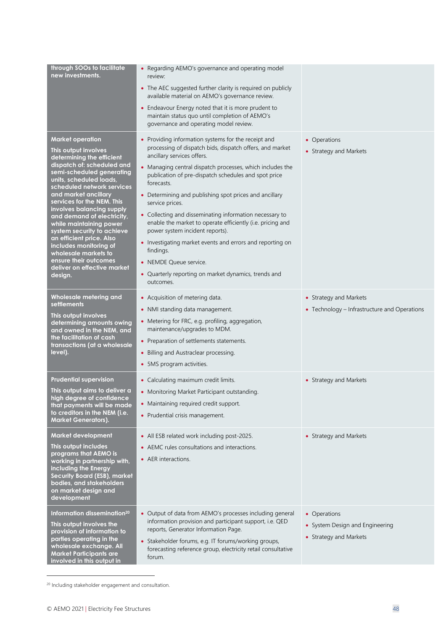| through SOOs to facilitate<br>new investments.                                                                                                                                                                                                                                                                                                                                                                                                                                                                              | • Regarding AEMO's governance and operating model<br>review:<br>• The AEC suggested further clarity is required on publicly<br>available material on AEMO's governance review.<br>• Endeavour Energy noted that it is more prudent to<br>maintain status quo until completion of AEMO's<br>governance and operating model review.                                                                                                                                                                                                                                                                                                                                                                  |                                                                           |
|-----------------------------------------------------------------------------------------------------------------------------------------------------------------------------------------------------------------------------------------------------------------------------------------------------------------------------------------------------------------------------------------------------------------------------------------------------------------------------------------------------------------------------|----------------------------------------------------------------------------------------------------------------------------------------------------------------------------------------------------------------------------------------------------------------------------------------------------------------------------------------------------------------------------------------------------------------------------------------------------------------------------------------------------------------------------------------------------------------------------------------------------------------------------------------------------------------------------------------------------|---------------------------------------------------------------------------|
| <b>Market operation</b><br>This output involves<br>determining the efficient<br>dispatch of: scheduled and<br>semi-scheduled generating<br>units, scheduled loads,<br>scheduled network services<br>and market ancillary<br>services for the NEM. This<br>involves balancing supply<br>and demand of electricity,<br>while maintaining power<br>system security to achieve<br>an efficient price. Also<br>includes monitoring of<br>wholesale markets to<br>ensure their outcomes<br>deliver on effective market<br>design. | • Providing information systems for the receipt and<br>processing of dispatch bids, dispatch offers, and market<br>ancillary services offers.<br>• Managing central dispatch processes, which includes the<br>publication of pre-dispatch schedules and spot price<br>forecasts.<br>• Determining and publishing spot prices and ancillary<br>service prices.<br>• Collecting and disseminating information necessary to<br>enable the market to operate efficiently (i.e. pricing and<br>power system incident reports).<br>• Investigating market events and errors and reporting on<br>findings.<br>• NEMDE Queue service.<br>• Quarterly reporting on market dynamics, trends and<br>outcomes. | • Operations<br>• Strategy and Markets                                    |
| Wholesale metering and<br>settlements<br>This output involves<br>determining amounts owing<br>and owned in the NEM, and<br>the facilitation of cash<br>transactions (at a wholesale<br>level).                                                                                                                                                                                                                                                                                                                              | • Acquisition of metering data.<br>• NMI standing data management.<br>• Metering for FRC, e.g. profiling, aggregation,<br>maintenance/upgrades to MDM.<br>• Preparation of settlements statements.<br>• Billing and Austraclear processing.<br>• 5MS program activities.                                                                                                                                                                                                                                                                                                                                                                                                                           | • Strategy and Markets<br>• Technology – Infrastructure and Operations    |
| <b>Prudential supervision</b><br>This output aims to deliver a<br>high degree of confidence<br>that payments will be made<br>to creditors in the NEM (i.e.<br><b>Market Generators).</b>                                                                                                                                                                                                                                                                                                                                    | • Calculating maximum credit limits.<br>• Monitoring Market Participant outstanding.<br>• Maintaining required credit support.<br>• Prudential crisis management.                                                                                                                                                                                                                                                                                                                                                                                                                                                                                                                                  | • Strategy and Markets                                                    |
| <b>Market development</b><br>This output includes<br>programs that AEMO is<br>working in partnership with,<br>including the Energy<br>Security Board (ESB), market<br>bodies, and stakeholders<br>on market design and<br>development                                                                                                                                                                                                                                                                                       | • All ESB related work including post-2025.<br>• AEMC rules consultations and interactions.<br>• AER interactions.                                                                                                                                                                                                                                                                                                                                                                                                                                                                                                                                                                                 | • Strategy and Markets                                                    |
| Information dissemination <sup>20</sup><br>This output involves the<br>provision of information to<br>parties operating in the<br>wholesale exchange. All<br>Market Participants are<br>involved in this output in                                                                                                                                                                                                                                                                                                          | • Output of data from AEMO's processes including general<br>information provision and participant support, i.e. QED<br>reports, Generator Information Page.<br>• Stakeholder forums, e.g. IT forums/working groups,<br>forecasting reference group, electricity retail consultative<br>forum.                                                                                                                                                                                                                                                                                                                                                                                                      | • Operations<br>• System Design and Engineering<br>• Strategy and Markets |

<sup>20</sup> Including stakeholder engagement and consultation.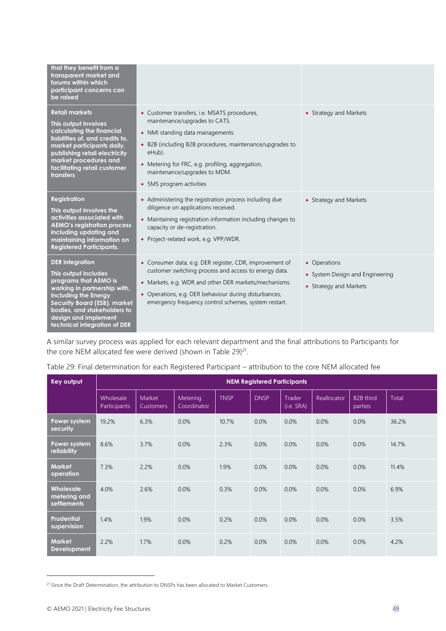| that they benefit from a<br>transparent market and<br>forums within which<br>participant concerns can<br>be raised                                                                                                                                            |                                                                                                                                                                                                                                                                                                                    |                                                                           |
|---------------------------------------------------------------------------------------------------------------------------------------------------------------------------------------------------------------------------------------------------------------|--------------------------------------------------------------------------------------------------------------------------------------------------------------------------------------------------------------------------------------------------------------------------------------------------------------------|---------------------------------------------------------------------------|
| <b>Retail markets</b><br>This output involves<br>calculating the financial<br>liabilities of, and credits to,<br>market participants daily,<br>publishing retail electricity<br>market procedures and<br>facilitating retail customer<br><b>transfers</b>     | • Customer transfers, i.e. MSATS procedures,<br>maintenance/upgrades to CATS.<br>• NMI standing data managements.<br>• B2B (including B2B procedures, maintenance/upgrades to<br>eHub).<br>Metering for FRC, e.g. profiling, aggregation,<br>$\bullet$<br>maintenance/upgrades to MDM.<br>• 5MS program activities | • Strategy and Markets                                                    |
| <b>Registration</b><br>This output involves the<br>activities associated with<br><b>AEMO's registration process</b><br>including updating and<br>maintaining information on<br><b>Registered Participants.</b>                                                | • Administering the registration process including due<br>diligence on applications received.<br>• Maintaining registration information including changes to<br>capacity or de-registration.<br>• Project-related work, e.g. VPP/WDR.                                                                              | • Strategy and Markets                                                    |
| <b>DER</b> integration<br>This output includes<br>programs that AEMO is<br>working in partnership with,<br>including the Energy<br><b>Security Board (ESB), market</b><br>bodies, and stakeholders to<br>design and implement<br>technical integration of DER | • Consumer data, e.g. DER register, CDR, improvement of<br>customer switching process and access to energy data.<br>• Markets, e.g. WDR and other DER markets/mechanisms.<br>• Operations, e.g. DER behaviour during disturbances,<br>emergency frequency control schemes, system restart.                         | • Operations<br>• System Design and Engineering<br>• Strategy and Markets |

A similar survey process was applied for each relevant department and the final attributions to Participants for the core NEM allocated fee were derived (shown in Table 29)<sup>21</sup>.

#### Table 29: Final determination for each Registered Participant – attribution to the core NEM allocated fee

| <b>Key output</b>                        | <b>NEM Registered Participants</b> |                            |                         |             |             |                      |             |                             |              |
|------------------------------------------|------------------------------------|----------------------------|-------------------------|-------------|-------------|----------------------|-------------|-----------------------------|--------------|
|                                          | Wholesale<br>Participants          | Market<br><b>Customers</b> | Metering<br>Coordinator | <b>TNSP</b> | <b>DNSP</b> | Trader<br>(i.e. SRA) | Reallocator | <b>B2B</b> third<br>parties | <b>Total</b> |
| Power system<br>security                 | 19.2%                              | 6.3%                       | 0.0%                    | 10.7%       | 0.0%        | 0.0%                 | 0.0%        | 0.0%                        | 36.2%        |
| Power system<br>reliability              | 8.6%                               | 3.7%                       | 0.0%                    | 2.3%        | 0.0%        | 0.0%                 | 0.0%        | 0.0%                        | 14.7%        |
| <b>Market</b><br>operation               | 7.3%                               | 2.2%                       | 0.0%                    | 1.9%        | 0.0%        | 0.0%                 | 0.0%        | 0.0%                        | 11.4%        |
| Wholesale<br>metering and<br>settlements | 4.0%                               | 2.6%                       | 0.0%                    | 0.3%        | 0.0%        | 0.0%                 | 0.0%        | 0.0%                        | 6.9%         |
| Prudential<br>supervision                | 1.4%                               | 1.9%                       | 0.0%                    | 0.2%        | 0.0%        | 0.0%                 | 0.0%        | 0.0%                        | 3.5%         |
| <b>Market</b><br><b>Development</b>      | 2.2%                               | 1.7%                       | 0.0%                    | 0.2%        | 0.0%        | 0.0%                 | 0.0%        | 0.0%                        | 4.2%         |

<sup>&</sup>lt;sup>21</sup> Since the Draft Determination, the attribution to DNSPs has been allocated to Market Customers.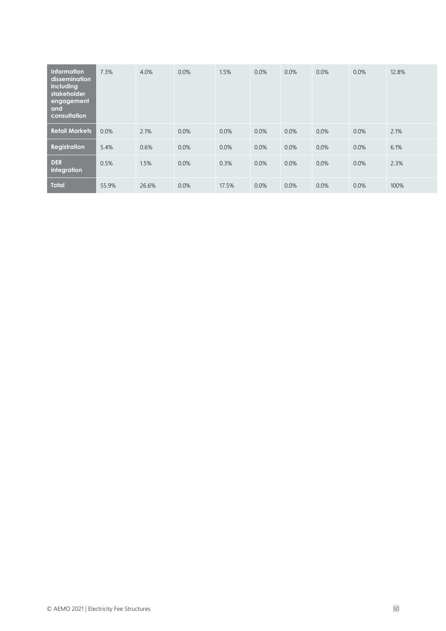| <b>Information</b><br>dissemination<br>including<br>stakeholder<br>engagement<br>and<br>consultation | 7.3%    | 4.0%  | 0.0%    | 1.5%  | 0.0% | 0.0% | 0.0% | 0.0% | 12.8% |
|------------------------------------------------------------------------------------------------------|---------|-------|---------|-------|------|------|------|------|-------|
| <b>Retail Markets</b>                                                                                | $0.0\%$ | 2.1%  | $0.0\%$ | 0.0%  | 0.0% | 0.0% | 0.0% | 0.0% | 2.1%  |
| <b>Registration</b>                                                                                  | 5.4%    | 0.6%  | 0.0%    | 0.0%  | 0.0% | 0.0% | 0.0% | 0.0% | 6.1%  |
| <b>DER</b><br>integration                                                                            | 0.5%    | 1.5%  | 0.0%    | 0.3%  | 0.0% | 0.0% | 0.0% | 0.0% | 2.3%  |
| <b>Total</b>                                                                                         | 55.9%   | 26.6% | 0.0%    | 17.5% | 0.0% | 0.0% | 0.0% | 0.0% | 100%  |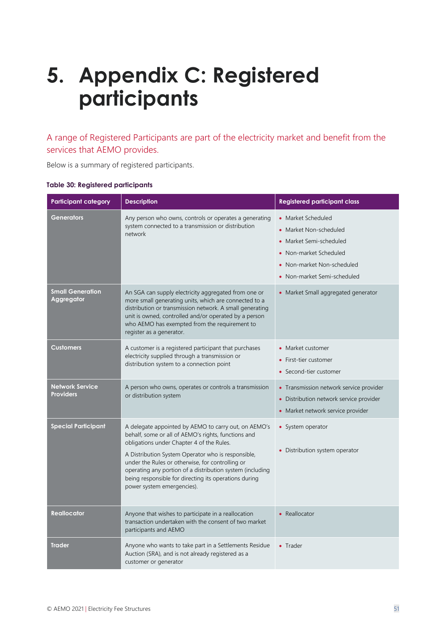# <span id="page-50-0"></span>**5. Appendix C: Registered participants**

A range of Registered Participants are part of the electricity market and benefit from the services that AEMO provides.

Below is a summary of registered participants.

|  |  | Table 30: Registered participants |  |  |  |
|--|--|-----------------------------------|--|--|--|
|--|--|-----------------------------------|--|--|--|

| <b>Participant category</b>                | <b>Description</b>                                                                                                                                                                                                                                                                                                                                                                                                     | <b>Registered participant class</b>                                                                                                                                                           |
|--------------------------------------------|------------------------------------------------------------------------------------------------------------------------------------------------------------------------------------------------------------------------------------------------------------------------------------------------------------------------------------------------------------------------------------------------------------------------|-----------------------------------------------------------------------------------------------------------------------------------------------------------------------------------------------|
| Generators                                 | Any person who owns, controls or operates a generating<br>system connected to a transmission or distribution<br>network                                                                                                                                                                                                                                                                                                | • Market Scheduled<br>Market Non-scheduled<br>$\bullet$<br>Market Semi-scheduled<br>$\bullet$<br>Non-market Scheduled<br>$\bullet$<br>• Non-market Non-scheduled<br>Non-market Semi-scheduled |
| <b>Small Generation</b><br>Aggregator      | An SGA can supply electricity aggregated from one or<br>more small generating units, which are connected to a<br>distribution or transmission network. A small generating<br>unit is owned, controlled and/or operated by a person<br>who AEMO has exempted from the requirement to<br>register as a generator.                                                                                                        | • Market Small aggregated generator                                                                                                                                                           |
| <b>Customers</b>                           | A customer is a registered participant that purchases<br>electricity supplied through a transmission or<br>distribution system to a connection point                                                                                                                                                                                                                                                                   | Market customer<br>First-tier customer<br>$\bullet$<br>Second-tier customer                                                                                                                   |
| <b>Network Service</b><br><b>Providers</b> | A person who owns, operates or controls a transmission<br>or distribution system                                                                                                                                                                                                                                                                                                                                       | • Transmission network service provider<br>• Distribution network service provider<br>• Market network service provider                                                                       |
| <b>Special Participant</b>                 | A delegate appointed by AEMO to carry out, on AEMO's<br>behalf, some or all of AEMO's rights, functions and<br>obligations under Chapter 4 of the Rules.<br>A Distribution System Operator who is responsible,<br>under the Rules or otherwise, for controlling or<br>operating any portion of a distribution system (including<br>being responsible for directing its operations during<br>power system emergencies). | • System operator<br>• Distribution system operator                                                                                                                                           |
| <b>Reallocator</b>                         | Anyone that wishes to participate in a reallocation<br>transaction undertaken with the consent of two market<br>participants and AEMO                                                                                                                                                                                                                                                                                  | • Reallocator                                                                                                                                                                                 |
| <b>Trader</b>                              | Anyone who wants to take part in a Settlements Residue<br>Auction (SRA), and is not already registered as a<br>customer or generator                                                                                                                                                                                                                                                                                   | • Trader                                                                                                                                                                                      |